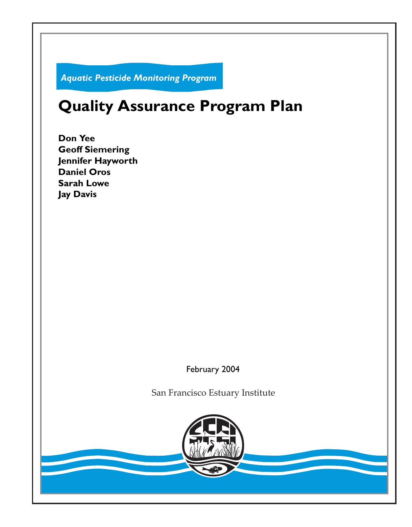*Aquatic Pesticide Monitoring Program*

# **Quality Assurance Program Plan**

**Don Yee Geoff Siemering Jennifer Hayworth Daniel Oros Sarah Lowe Jay Davis**

February 2004

San Francisco Estuary Institute

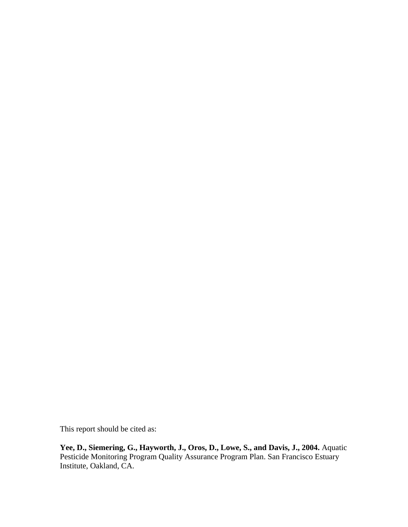This report should be cited as:

**Yee, D., Siemering, G., Hayworth, J., Oros, D., Lowe, S., and Davis, J., 2004.** Aquatic Pesticide Monitoring Program Quality Assurance Program Plan. San Francisco Estuary Institute, Oakland, CA.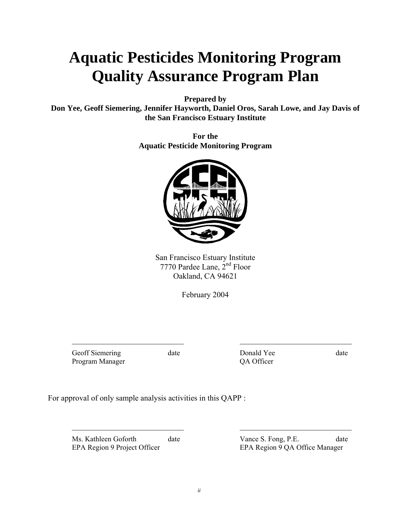# **Aquatic Pesticides Monitoring Program Quality Assurance Program Plan**

**Prepared by** 

**Don Yee, Geoff Siemering, Jennifer Hayworth, Daniel Oros, Sarah Lowe, and Jay Davis of the San Francisco Estuary Institute** 

> **For the Aquatic Pesticide Monitoring Program**



San Francisco Estuary Institute 7770 Pardee Lane, 2nd Floor Oakland, CA 94621

February 2004

 $\mathcal{L}_\text{max}$  , and the contribution of the contribution of  $\mathcal{L}_\text{max}$  , and the contribution of  $\mathcal{L}_\text{max}$ 

 $\mathcal{L}_\text{max}$  , and the contribution of the contribution of  $\mathcal{L}_\text{max}$  , and the contribution of  $\mathcal{L}_\text{max}$ 

Geoff Siemering date **Donald Yee** date date Program Manager QA Officer

For approval of only sample analysis activities in this QAPP :

EPA Region 9 Project Officer EPA Region 9 QA Office Manager

Ms. Kathleen Goforth date Vance S. Fong, P.E. date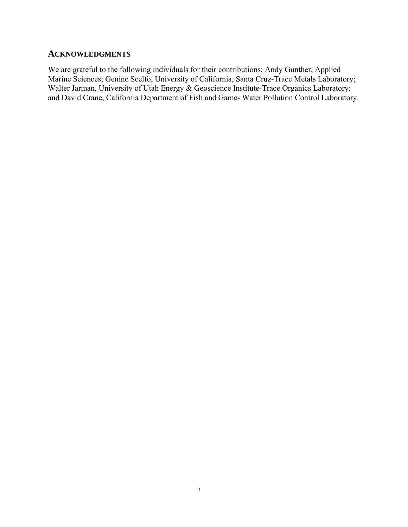# **ACKNOWLEDGMENTS**

We are grateful to the following individuals for their contributions: Andy Gunther, Applied Marine Sciences; Genine Scelfo, University of California, Santa Cruz-Trace Metals Laboratory; Walter Jarman, University of Utah Energy & Geoscience Institute-Trace Organics Laboratory; and David Crane, California Department of Fish and Game- Water Pollution Control Laboratory.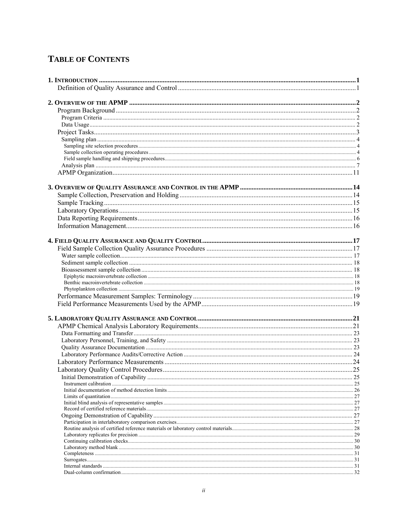# **TABLE OF CONTENTS**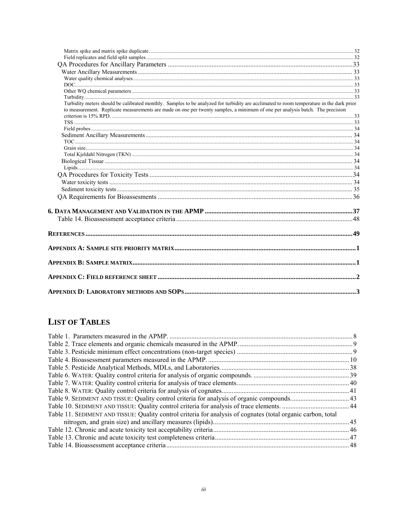| Turbidity meters should be calibrated monthly. Samples to be analyzed for turbidity are acclimated to room temperature in the dark prior<br>to measurement. Replicate measurements are made on one per twenty samples, a minimum of one per analysis batch. The precision |  |
|---------------------------------------------------------------------------------------------------------------------------------------------------------------------------------------------------------------------------------------------------------------------------|--|
|                                                                                                                                                                                                                                                                           |  |
|                                                                                                                                                                                                                                                                           |  |
|                                                                                                                                                                                                                                                                           |  |
|                                                                                                                                                                                                                                                                           |  |
|                                                                                                                                                                                                                                                                           |  |
|                                                                                                                                                                                                                                                                           |  |
|                                                                                                                                                                                                                                                                           |  |
|                                                                                                                                                                                                                                                                           |  |
|                                                                                                                                                                                                                                                                           |  |
|                                                                                                                                                                                                                                                                           |  |
|                                                                                                                                                                                                                                                                           |  |
|                                                                                                                                                                                                                                                                           |  |
|                                                                                                                                                                                                                                                                           |  |
|                                                                                                                                                                                                                                                                           |  |
|                                                                                                                                                                                                                                                                           |  |
|                                                                                                                                                                                                                                                                           |  |
|                                                                                                                                                                                                                                                                           |  |
|                                                                                                                                                                                                                                                                           |  |
|                                                                                                                                                                                                                                                                           |  |
|                                                                                                                                                                                                                                                                           |  |

# **LIST OF TABLES**

| Table 11. SEDIMENT AND TISSUE: Quality control criteria for analysis of cognates (total organic carbon, total |  |
|---------------------------------------------------------------------------------------------------------------|--|
|                                                                                                               |  |
|                                                                                                               |  |
|                                                                                                               |  |
|                                                                                                               |  |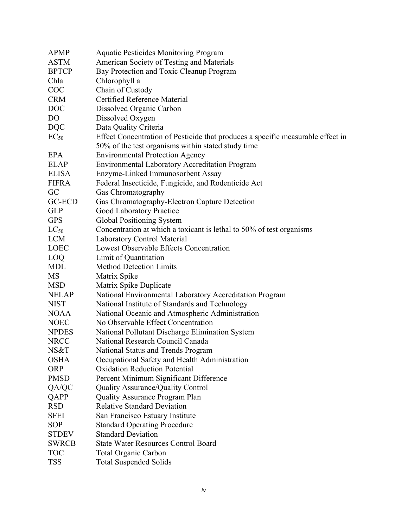| APMP         | <b>Aquatic Pesticides Monitoring Program</b>                                    |
|--------------|---------------------------------------------------------------------------------|
| <b>ASTM</b>  | American Society of Testing and Materials                                       |
| <b>BPTCP</b> | Bay Protection and Toxic Cleanup Program                                        |
| Chla         | Chlorophyll a                                                                   |
| <b>COC</b>   | Chain of Custody                                                                |
| <b>CRM</b>   | Certified Reference Material                                                    |
| <b>DOC</b>   | Dissolved Organic Carbon                                                        |
| DO           | Dissolved Oxygen                                                                |
| <b>DQC</b>   | Data Quality Criteria                                                           |
| $EC_{50}$    | Effect Concentration of Pesticide that produces a specific measurable effect in |
|              | 50% of the test organisms within stated study time                              |
| EPA          | <b>Environmental Protection Agency</b>                                          |
| <b>ELAP</b>  | <b>Environmental Laboratory Accreditation Program</b>                           |
| <b>ELISA</b> | Enzyme-Linked Immunosorbent Assay                                               |
| <b>FIFRA</b> | Federal Insecticide, Fungicide, and Rodenticide Act                             |
| GC           | Gas Chromatography                                                              |
| GC-ECD       | Gas Chromatography-Electron Capture Detection                                   |
| <b>GLP</b>   | <b>Good Laboratory Practice</b>                                                 |
| <b>GPS</b>   | Global Positioning System                                                       |
| $LC_{50}$    | Concentration at which a toxicant is lethal to 50% of test organisms            |
| <b>LCM</b>   | <b>Laboratory Control Material</b>                                              |
| <b>LOEC</b>  | Lowest Observable Effects Concentration                                         |
| LOQ          | Limit of Quantitation                                                           |
| MDL          | <b>Method Detection Limits</b>                                                  |
| MS           | Matrix Spike                                                                    |
| <b>MSD</b>   | Matrix Spike Duplicate                                                          |
| <b>NELAP</b> | National Environmental Laboratory Accreditation Program                         |
| <b>NIST</b>  | National Institute of Standards and Technology                                  |
| <b>NOAA</b>  | National Oceanic and Atmospheric Administration                                 |
| <b>NOEC</b>  | No Observable Effect Concentration                                              |
| <b>NPDES</b> | National Pollutant Discharge Elimination System                                 |
| <b>NRCC</b>  | National Research Council Canada                                                |
| NS&T         | National Status and Trends Program                                              |
| <b>OSHA</b>  | Occupational Safety and Health Administration                                   |
| <b>ORP</b>   | <b>Oxidation Reduction Potential</b>                                            |
| <b>PMSD</b>  | Percent Minimum Significant Difference                                          |
| QA/QC        | <b>Quality Assurance/Quality Control</b>                                        |
| QAPP         | <b>Quality Assurance Program Plan</b>                                           |
| <b>RSD</b>   | <b>Relative Standard Deviation</b>                                              |
| <b>SFEI</b>  | San Francisco Estuary Institute                                                 |
| <b>SOP</b>   | <b>Standard Operating Procedure</b>                                             |
| <b>STDEV</b> | <b>Standard Deviation</b>                                                       |
| <b>SWRCB</b> | <b>State Water Resources Control Board</b>                                      |
| <b>TOC</b>   | <b>Total Organic Carbon</b>                                                     |
| <b>TSS</b>   | <b>Total Suspended Solids</b>                                                   |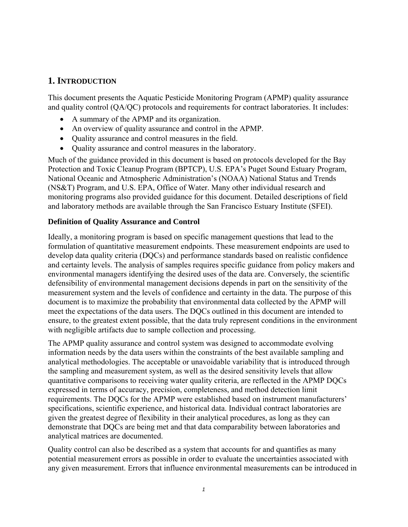## **1. INTRODUCTION**

This document presents the Aquatic Pesticide Monitoring Program (APMP) quality assurance and quality control (QA/QC) protocols and requirements for contract laboratories. It includes:

- A summary of the APMP and its organization.
- An overview of quality assurance and control in the APMP.
- Quality assurance and control measures in the field.
- Quality assurance and control measures in the laboratory.

Much of the guidance provided in this document is based on protocols developed for the Bay Protection and Toxic Cleanup Program (BPTCP), U.S. EPA's Puget Sound Estuary Program, National Oceanic and Atmospheric Administration's (NOAA) National Status and Trends (NS&T) Program, and U.S. EPA, Office of Water. Many other individual research and monitoring programs also provided guidance for this document. Detailed descriptions of field and laboratory methods are available through the San Francisco Estuary Institute (SFEI).

#### **Definition of Quality Assurance and Control**

Ideally, a monitoring program is based on specific management questions that lead to the formulation of quantitative measurement endpoints. These measurement endpoints are used to develop data quality criteria (DQCs) and performance standards based on realistic confidence and certainty levels. The analysis of samples requires specific guidance from policy makers and environmental managers identifying the desired uses of the data are. Conversely, the scientific defensibility of environmental management decisions depends in part on the sensitivity of the measurement system and the levels of confidence and certainty in the data. The purpose of this document is to maximize the probability that environmental data collected by the APMP will meet the expectations of the data users. The DQCs outlined in this document are intended to ensure, to the greatest extent possible, that the data truly represent conditions in the environment with negligible artifacts due to sample collection and processing.

The APMP quality assurance and control system was designed to accommodate evolving information needs by the data users within the constraints of the best available sampling and analytical methodologies. The acceptable or unavoidable variability that is introduced through the sampling and measurement system, as well as the desired sensitivity levels that allow quantitative comparisons to receiving water quality criteria, are reflected in the APMP DQCs expressed in terms of accuracy, precision, completeness, and method detection limit requirements. The DQCs for the APMP were established based on instrument manufacturers' specifications, scientific experience, and historical data. Individual contract laboratories are given the greatest degree of flexibility in their analytical procedures, as long as they can demonstrate that DQCs are being met and that data comparability between laboratories and analytical matrices are documented.

Quality control can also be described as a system that accounts for and quantifies as many potential measurement errors as possible in order to evaluate the uncertainties associated with any given measurement. Errors that influence environmental measurements can be introduced in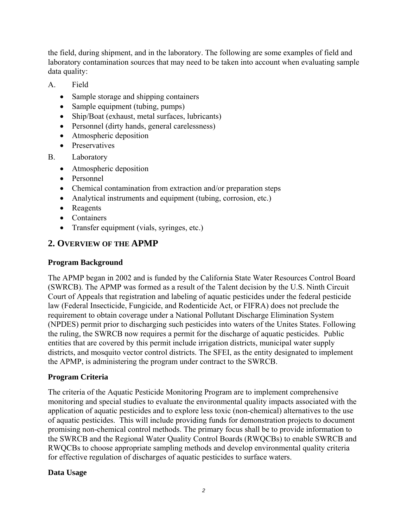the field, during shipment, and in the laboratory. The following are some examples of field and laboratory contamination sources that may need to be taken into account when evaluating sample data quality:

- A. Field
	- Sample storage and shipping containers
	- Sample equipment (tubing, pumps)
	- Ship/Boat (exhaust, metal surfaces, lubricants)
	- Personnel (dirty hands, general carelessness)
	- Atmospheric deposition
	- Preservatives
- B. Laboratory
	- Atmospheric deposition
	- Personnel
	- Chemical contamination from extraction and/or preparation steps
	- Analytical instruments and equipment (tubing, corrosion, etc.)
	- Reagents
	- Containers
	- Transfer equipment (vials, syringes, etc.)

# **2. OVERVIEW OF THE APMP**

#### **Program Background**

The APMP began in 2002 and is funded by the California State Water Resources Control Board (SWRCB). The APMP was formed as a result of the Talent decision by the U.S. Ninth Circuit Court of Appeals that registration and labeling of aquatic pesticides under the federal pesticide law (Federal Insecticide, Fungicide, and Rodenticide Act, or FIFRA) does not preclude the requirement to obtain coverage under a National Pollutant Discharge Elimination System (NPDES) permit prior to discharging such pesticides into waters of the Unites States. Following the ruling, the SWRCB now requires a permit for the discharge of aquatic pesticides. Public entities that are covered by this permit include irrigation districts, municipal water supply districts, and mosquito vector control districts. The SFEI, as the entity designated to implement the APMP, is administering the program under contract to the SWRCB.

#### **Program Criteria**

The criteria of the Aquatic Pesticide Monitoring Program are to implement comprehensive monitoring and special studies to evaluate the environmental quality impacts associated with the application of aquatic pesticides and to explore less toxic (non-chemical) alternatives to the use of aquatic pesticides. This will include providing funds for demonstration projects to document promising non-chemical control methods. The primary focus shall be to provide information to the SWRCB and the Regional Water Quality Control Boards (RWQCBs) to enable SWRCB and RWQCBs to choose appropriate sampling methods and develop environmental quality criteria for effective regulation of discharges of aquatic pesticides to surface waters.

#### **Data Usage**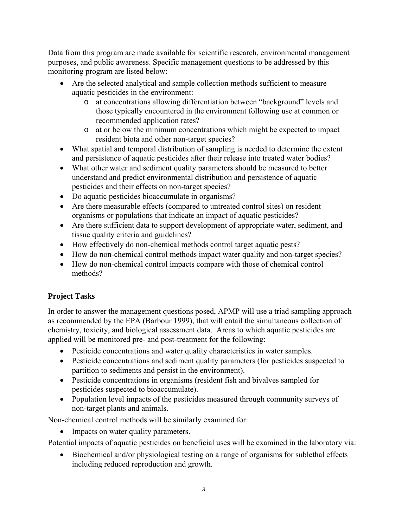Data from this program are made available for scientific research, environmental management purposes, and public awareness. Specific management questions to be addressed by this monitoring program are listed below:

- Are the selected analytical and sample collection methods sufficient to measure aquatic pesticides in the environment:
	- o at concentrations allowing differentiation between "background" levels and those typically encountered in the environment following use at common or recommended application rates?
	- o at or below the minimum concentrations which might be expected to impact resident biota and other non-target species?
- What spatial and temporal distribution of sampling is needed to determine the extent and persistence of aquatic pesticides after their release into treated water bodies?
- What other water and sediment quality parameters should be measured to better understand and predict environmental distribution and persistence of aquatic pesticides and their effects on non-target species?
- Do aquatic pesticides bioaccumulate in organisms?
- Are there measurable effects (compared to untreated control sites) on resident organisms or populations that indicate an impact of aquatic pesticides?
- Are there sufficient data to support development of appropriate water, sediment, and tissue quality criteria and guidelines?
- How effectively do non-chemical methods control target aquatic pests?
- How do non-chemical control methods impact water quality and non-target species?
- How do non-chemical control impacts compare with those of chemical control methods?

# **Project Tasks**

In order to answer the management questions posed, APMP will use a triad sampling approach as recommended by the EPA (Barbour 1999), that will entail the simultaneous collection of chemistry, toxicity, and biological assessment data. Areas to which aquatic pesticides are applied will be monitored pre- and post-treatment for the following:

- Pesticide concentrations and water quality characteristics in water samples.
- Pesticide concentrations and sediment quality parameters (for pesticides suspected to partition to sediments and persist in the environment).
- Pesticide concentrations in organisms (resident fish and bivalves sampled for pesticides suspected to bioaccumulate).
- Population level impacts of the pesticides measured through community surveys of non-target plants and animals.

Non-chemical control methods will be similarly examined for:

• Impacts on water quality parameters.

Potential impacts of aquatic pesticides on beneficial uses will be examined in the laboratory via:

• Biochemical and/or physiological testing on a range of organisms for sublethal effects including reduced reproduction and growth.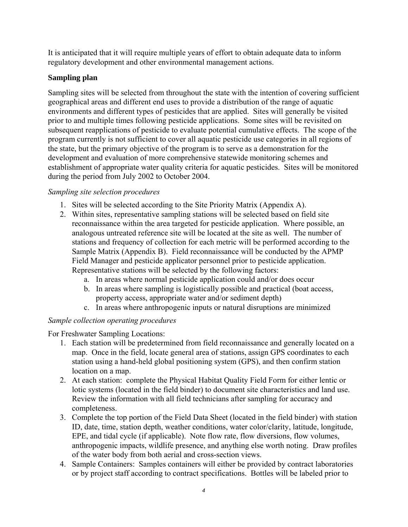It is anticipated that it will require multiple years of effort to obtain adequate data to inform regulatory development and other environmental management actions.

#### **Sampling plan**

Sampling sites will be selected from throughout the state with the intention of covering sufficient geographical areas and different end uses to provide a distribution of the range of aquatic environments and different types of pesticides that are applied. Sites will generally be visited prior to and multiple times following pesticide applications. Some sites will be revisited on subsequent reapplications of pesticide to evaluate potential cumulative effects. The scope of the program currently is not sufficient to cover all aquatic pesticide use categories in all regions of the state, but the primary objective of the program is to serve as a demonstration for the development and evaluation of more comprehensive statewide monitoring schemes and establishment of appropriate water quality criteria for aquatic pesticides. Sites will be monitored during the period from July 2002 to October 2004.

#### *Sampling site selection procedures*

- 1. Sites will be selected according to the Site Priority Matrix (Appendix A).
- 2. Within sites, representative sampling stations will be selected based on field site reconnaissance within the area targeted for pesticide application. Where possible, an analogous untreated reference site will be located at the site as well. The number of stations and frequency of collection for each metric will be performed according to the Sample Matrix (Appendix B). Field reconnaissance will be conducted by the APMP Field Manager and pesticide applicator personnel prior to pesticide application. Representative stations will be selected by the following factors:
	- a. In areas where normal pesticide application could and/or does occur
	- b. In areas where sampling is logistically possible and practical (boat access, property access, appropriate water and/or sediment depth)
	- c. In areas where anthropogenic inputs or natural disruptions are minimized

### *Sample collection operating procedures*

For Freshwater Sampling Locations:

- 1. Each station will be predetermined from field reconnaissance and generally located on a map. Once in the field, locate general area of stations, assign GPS coordinates to each station using a hand-held global positioning system (GPS), and then confirm station location on a map.
- 2. At each station: complete the Physical Habitat Quality Field Form for either lentic or lotic systems (located in the field binder) to document site characteristics and land use. Review the information with all field technicians after sampling for accuracy and completeness.
- 3. Complete the top portion of the Field Data Sheet (located in the field binder) with station ID, date, time, station depth, weather conditions, water color/clarity, latitude, longitude, EPE, and tidal cycle (if applicable). Note flow rate, flow diversions, flow volumes, anthropogenic impacts, wildlife presence, and anything else worth noting. Draw profiles of the water body from both aerial and cross-section views.
- 4. Sample Containers: Samples containers will either be provided by contract laboratories or by project staff according to contract specifications. Bottles will be labeled prior to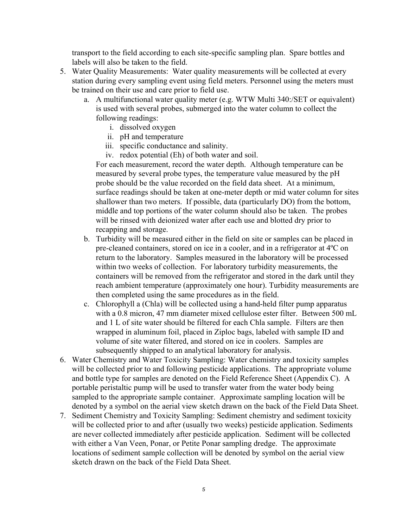transport to the field according to each site-specific sampling plan. Spare bottles and labels will also be taken to the field.

- 5. Water Quality Measurements: Water quality measurements will be collected at every station during every sampling event using field meters. Personnel using the meters must be trained on their use and care prior to field use.
	- a. A multifunctional water quality meter (e.g. WTW Multi 340:/SET or equivalent) is used with several probes, submerged into the water column to collect the following readings:
		- i. dissolved oxygen
		- ii. pH and temperature
		- iii. specific conductance and salinity.
		- iv. redox potential (Eh) of both water and soil.

For each measurement, record the water depth. Although temperature can be measured by several probe types, the temperature value measured by the pH probe should be the value recorded on the field data sheet. At a minimum, surface readings should be taken at one-meter depth or mid water column for sites shallower than two meters. If possible, data (particularly DO) from the bottom, middle and top portions of the water column should also be taken. The probes will be rinsed with deionized water after each use and blotted dry prior to recapping and storage.

- b. Turbidity will be measured either in the field on site or samples can be placed in pre-cleaned containers, stored on ice in a cooler, and in a refrigerator at 4ºC on return to the laboratory. Samples measured in the laboratory will be processed within two weeks of collection. For laboratory turbidity measurements, the containers will be removed from the refrigerator and stored in the dark until they reach ambient temperature (approximately one hour). Turbidity measurements are then completed using the same procedures as in the field.
- c. Chlorophyll a (Chla) will be collected using a hand-held filter pump apparatus with a 0.8 micron, 47 mm diameter mixed cellulose ester filter. Between 500 mL and 1 L of site water should be filtered for each Chla sample. Filters are then wrapped in aluminum foil, placed in Ziploc bags, labeled with sample ID and volume of site water filtered, and stored on ice in coolers. Samples are subsequently shipped to an analytical laboratory for analysis.
- 6. Water Chemistry and Water Toxicity Sampling: Water chemistry and toxicity samples will be collected prior to and following pesticide applications. The appropriate volume and bottle type for samples are denoted on the Field Reference Sheet (Appendix C). A portable peristaltic pump will be used to transfer water from the water body being sampled to the appropriate sample container. Approximate sampling location will be denoted by a symbol on the aerial view sketch drawn on the back of the Field Data Sheet.
- 7. Sediment Chemistry and Toxicity Sampling: Sediment chemistry and sediment toxicity will be collected prior to and after (usually two weeks) pesticide application. Sediments are never collected immediately after pesticide application. Sediment will be collected with either a Van Veen, Ponar, or Petite Ponar sampling dredge. The approximate locations of sediment sample collection will be denoted by symbol on the aerial view sketch drawn on the back of the Field Data Sheet.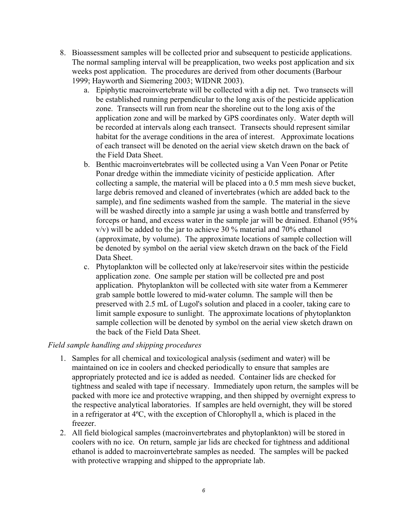- 8. Bioassessment samples will be collected prior and subsequent to pesticide applications. The normal sampling interval will be preapplication, two weeks post application and six weeks post application. The procedures are derived from other documents (Barbour 1999; Hayworth and Siemering 2003; WIDNR 2003).
	- a. Epiphytic macroinvertebrate will be collected with a dip net. Two transects will be established running perpendicular to the long axis of the pesticide application zone. Transects will run from near the shoreline out to the long axis of the application zone and will be marked by GPS coordinates only. Water depth will be recorded at intervals along each transect. Transects should represent similar habitat for the average conditions in the area of interest. Approximate locations of each transect will be denoted on the aerial view sketch drawn on the back of the Field Data Sheet.
	- b. Benthic macroinvertebrates will be collected using a Van Veen Ponar or Petite Ponar dredge within the immediate vicinity of pesticide application. After collecting a sample, the material will be placed into a 0.5 mm mesh sieve bucket, large debris removed and cleaned of invertebrates (which are added back to the sample), and fine sediments washed from the sample. The material in the sieve will be washed directly into a sample jar using a wash bottle and transferred by forceps or hand, and excess water in the sample jar will be drained. Ethanol (95%  $v/v$ ) will be added to the jar to achieve 30 % material and 70% ethanol (approximate, by volume). The approximate locations of sample collection will be denoted by symbol on the aerial view sketch drawn on the back of the Field Data Sheet.
	- c. Phytoplankton will be collected only at lake/reservoir sites within the pesticide application zone. One sample per station will be collected pre and post application. Phytoplankton will be collected with site water from a Kemmerer grab sample bottle lowered to mid-water column. The sample will then be preserved with 2.5 mL of Lugol's solution and placed in a cooler, taking care to limit sample exposure to sunlight. The approximate locations of phytoplankton sample collection will be denoted by symbol on the aerial view sketch drawn on the back of the Field Data Sheet.

#### *Field sample handling and shipping procedures*

- 1. Samples for all chemical and toxicological analysis (sediment and water) will be maintained on ice in coolers and checked periodically to ensure that samples are appropriately protected and ice is added as needed. Container lids are checked for tightness and sealed with tape if necessary. Immediately upon return, the samples will be packed with more ice and protective wrapping, and then shipped by overnight express to the respective analytical laboratories. If samples are held overnight, they will be stored in a refrigerator at 4ºC, with the exception of Chlorophyll a, which is placed in the freezer.
- 2. All field biological samples (macroinvertebrates and phytoplankton) will be stored in coolers with no ice. On return, sample jar lids are checked for tightness and additional ethanol is added to macroinvertebrate samples as needed. The samples will be packed with protective wrapping and shipped to the appropriate lab.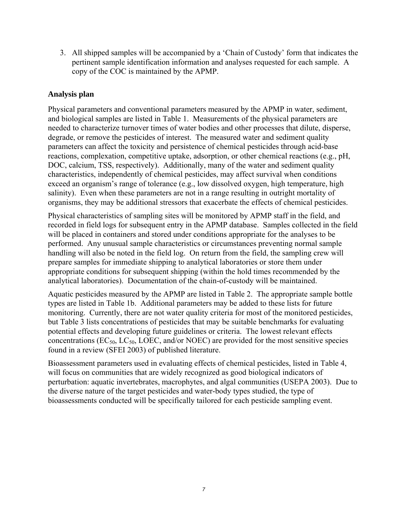3. All shipped samples will be accompanied by a 'Chain of Custody' form that indicates the pertinent sample identification information and analyses requested for each sample. A copy of the COC is maintained by the APMP.

#### **Analysis plan**

Physical parameters and conventional parameters measured by the APMP in water, sediment, and biological samples are listed in Table 1. Measurements of the physical parameters are needed to characterize turnover times of water bodies and other processes that dilute, disperse, degrade, or remove the pesticides of interest. The measured water and sediment quality parameters can affect the toxicity and persistence of chemical pesticides through acid-base reactions, complexation, competitive uptake, adsorption, or other chemical reactions (e.g., pH, DOC, calcium, TSS, respectively). Additionally, many of the water and sediment quality characteristics, independently of chemical pesticides, may affect survival when conditions exceed an organism's range of tolerance (e.g., low dissolved oxygen, high temperature, high salinity). Even when these parameters are not in a range resulting in outright mortality of organisms, they may be additional stressors that exacerbate the effects of chemical pesticides.

Physical characteristics of sampling sites will be monitored by APMP staff in the field, and recorded in field logs for subsequent entry in the APMP database. Samples collected in the field will be placed in containers and stored under conditions appropriate for the analyses to be performed. Any unusual sample characteristics or circumstances preventing normal sample handling will also be noted in the field log. On return from the field, the sampling crew will prepare samples for immediate shipping to analytical laboratories or store them under appropriate conditions for subsequent shipping (within the hold times recommended by the analytical laboratories). Documentation of the chain-of-custody will be maintained.

Aquatic pesticides measured by the APMP are listed in Table 2. The appropriate sample bottle types are listed in Table 1b. Additional parameters may be added to these lists for future monitoring. Currently, there are not water quality criteria for most of the monitored pesticides, but Table 3 lists concentrations of pesticides that may be suitable benchmarks for evaluating potential effects and developing future guidelines or criteria. The lowest relevant effects concentrations ( $EC_{50}$ ,  $LC_{50}$ , LOEC, and/or NOEC) are provided for the most sensitive species found in a review (SFEI 2003) of published literature.

Bioassessment parameters used in evaluating effects of chemical pesticides, listed in Table 4, will focus on communities that are widely recognized as good biological indicators of perturbation: aquatic invertebrates, macrophytes, and algal communities (USEPA 2003). Due to the diverse nature of the target pesticides and water-body types studied, the type of bioassessments conducted will be specifically tailored for each pesticide sampling event.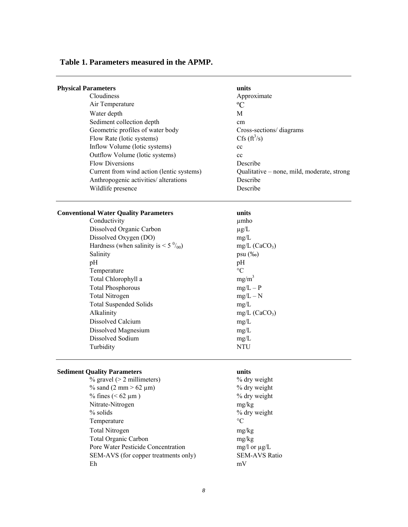#### **Table 1. Parameters measured in the APMP.**

| <b>Physical Parameters</b>                | units                                      |
|-------------------------------------------|--------------------------------------------|
| <b>Cloudiness</b>                         | Approximate                                |
| Air Temperature                           | $\rm ^{o}C$                                |
| Water depth                               | M                                          |
| Sediment collection depth                 | <sub>cm</sub>                              |
| Geometric profiles of water body          | Cross-sections/diagrams                    |
| Flow Rate (lotic systems)                 | $Cfs$ ( $\text{ft}^3\text{/s}$ )           |
| Inflow Volume (lotic systems)             | cc                                         |
| Outflow Volume (lotic systems)            | cc                                         |
| <b>Flow Diversions</b>                    | Describe                                   |
| Current from wind action (lentic systems) | Qualitative – none, mild, moderate, strong |
| Anthropogenic activities/ alterations     | Describe                                   |
| Wildlife presence                         | Describe                                   |
|                                           |                                            |

#### **Conventional Water Quality Parameters units**

| Conductivity                                     | µmho            |
|--------------------------------------------------|-----------------|
| Dissolved Organic Carbon                         | $\mu$ g/L       |
| Dissolved Oxygen (DO)                            | mg/L            |
| Hardness (when salinity is $\lt 5\frac{0}{00}$ ) | $mg/L$ (        |
| Salinity                                         | $psu$ (%        |
| pH                                               | pH              |
| Temperature                                      | $\rm ^{\circ}C$ |
| Total Chlorophyll a                              | $mg/m^3$        |
| <b>Total Phosphorous</b>                         | $mg/L$ -        |
| <b>Total Nitrogen</b>                            | $mg/L -$        |
| <b>Total Suspended Solids</b>                    | mg/L            |
| Alkalinity                                       | $mg/L$ (        |
| Dissolved Calcium                                | mg/L            |
| Dissolved Magnesium                              | mg/L            |
| Dissolved Sodium                                 | mg/L            |
| Turbidity                                        | NTU             |
|                                                  |                 |

 $mg/L$  (CaCO<sub>3</sub>) psu (‰)  $mg/L - P$  $mg/L - N$  $mg/L$  (CaCO<sub>3</sub>)

#### **Sediment Quality Parameters units**

% gravel (> 2 millimeters) % dry weight % sand  $(2 \text{ mm} > 62 \text{ }\mu\text{m})$  % dry weight % fines  $(< 62 \mu m)$  % dry weight Nitrate-Nitrogen mg/kg % solids % dry weight Temperature  ${}^{\circ}C$  Total Nitrogen mg/kg Total Organic Carbon mg/kg Pore Water Pesticide Concentration mg/l or  $\mu$ g/L SEM-AVS (for copper treatments only) SEM-AVS Ratio Eh mV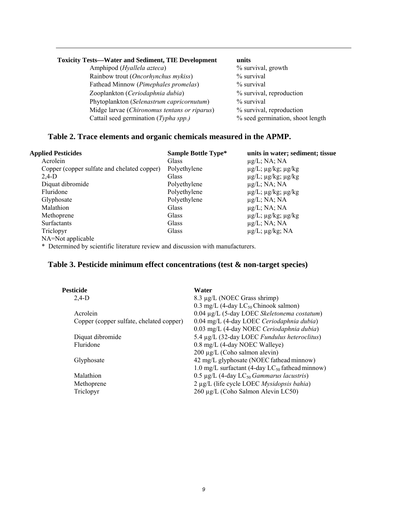#### **Toxicity Tests—Water and Sediment, TIE Development units**

 Amphipod (*Hyallela azteca*) % survival, growth Rainbow trout (*Oncorhynchus mykiss*) % survival Fathead Minnow (*Pimephales promelas*) % survival Zooplankton (*Ceriodaphnia dubia*) % survival, reproduction Phytoplankton (*Selenastrum capricornutum*) % survival Midge larvae (*Chironomus tentans or riparus*) % survival, reproduction Cattail seed germination (*Typha spp.)* % seed germination, shoot length

#### **Table 2. Trace elements and organic chemicals measured in the APMP.**

| <b>Applied Pesticides</b>                   | Sample Bottle Type* | units in water; sediment; tissue  |
|---------------------------------------------|---------------------|-----------------------------------|
| Acrolein                                    | <b>Glass</b>        | $\mu$ g/L; NA; NA                 |
| Copper (copper sulfate and chelated copper) | Polyethylene        | $\mu$ g/L; $\mu$ g/kg; $\mu$ g/kg |
| $2,4-D$                                     | Glass               | $\mu$ g/L; $\mu$ g/kg; $\mu$ g/kg |
| Diquat dibromide                            | Polyethylene        | $\mu$ g/L; NA; NA                 |
| Fluridone                                   | Polyethylene        | $\mu$ g/L; $\mu$ g/kg; $\mu$ g/kg |
| Glyphosate                                  | Polyethylene        | $\mu$ g/L; NA; NA                 |
| Malathion                                   | Glass               | $\mu$ g/L; NA; NA                 |
| Methoprene                                  | <b>Glass</b>        | $\mu$ g/L; $\mu$ g/kg; $\mu$ g/kg |
| <b>Surfactants</b>                          | <b>Glass</b>        | $\mu$ g/L; NA; NA                 |
| Triclopyr                                   | Glass               | $\mu$ g/L; $\mu$ g/kg; NA         |
| NA=Not applicable                           |                     |                                   |

\* Determined by scientific literature review and discussion with manufacturers.

#### **Table 3. Pesticide minimum effect concentrations (test & non-target species)**

| Pesticide                                | Water                                                  |
|------------------------------------------|--------------------------------------------------------|
| $2,4-D$                                  | 8.3 μg/L (NOEC Grass shrimp)                           |
|                                          | 0.3 mg/L (4-day $LC_{50}$ Chinook salmon)              |
| Acrolein                                 | 0.04 μg/L (5-day LOEC Skeletonema costatum)            |
| Copper (copper sulfate, chelated copper) | 0.04 mg/L (4-day LOEC Ceriodaphnia dubia)              |
|                                          | 0.03 mg/L (4-day NOEC Ceriodaphnia dubia)              |
| Diquat dibromide                         | 5.4 µg/L (32-day LOEC Fundulus heteroclitus)           |
| Fluridone                                | 0.8 mg/L (4-day NOEC Walleye)                          |
|                                          | $200 \mu g/L$ (Coho salmon alevin)                     |
| Glyphosate                               | 42 mg/L glyphosate (NOEC fathead minnow)               |
|                                          | 1.0 mg/L surfactant (4-day $LC_{50}$ fathead minnow)   |
| Malathion                                | 0.5 µg/L (4-day $LC_{50}$ Gammarus lacustris)          |
| Methoprene                               | $2 \mu g/L$ (life cycle LOEC <i>Mysidopsis bahia</i> ) |
| Triclopyr                                | 260 μg/L (Coho Salmon Alevin LC50)                     |
|                                          |                                                        |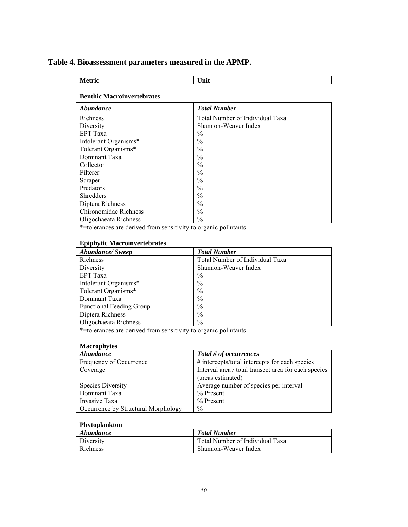#### **Table 4. Bioassessment parameters measured in the APMP.**

**Metric Unit** 

#### **Benthic Macroinvertebrates**

| Abundance             | <b>Total Number</b>             |
|-----------------------|---------------------------------|
| Richness              | Total Number of Individual Taxa |
| Diversity             | Shannon-Weaver Index            |
| <b>EPT</b> Taxa       | $\frac{0}{0}$                   |
| Intolerant Organisms* | $\frac{0}{0}$                   |
| Tolerant Organisms*   | $\frac{0}{0}$                   |
| Dominant Taxa         | $\frac{0}{0}$                   |
| Collector             | $\frac{0}{0}$                   |
| Filterer              | $\frac{0}{0}$                   |
| Scraper               | $\frac{0}{0}$                   |
| Predators             | $\frac{0}{0}$                   |
| <b>Shredders</b>      | $\frac{0}{0}$                   |
| Diptera Richness      | $\frac{0}{0}$                   |
| Chironomidae Richness | $\frac{0}{0}$                   |
| Oligochaeata Richness | $\frac{0}{0}$                   |

\*=tolerances are derived from sensitivity to organic pollutants

#### **Epiphytic Macroinvertebrates**

| <b>Abundance/Sweep</b>          | <b>Total Number</b>             |
|---------------------------------|---------------------------------|
| Richness                        | Total Number of Individual Taxa |
| Diversity                       | Shannon-Weaver Index            |
| EPT Taxa                        | $\%$                            |
| Intolerant Organisms*           | $\frac{0}{0}$                   |
| Tolerant Organisms*             | $\frac{0}{0}$                   |
| Dominant Taxa                   | $\frac{0}{0}$                   |
| <b>Functional Feeding Group</b> | $\frac{0}{0}$                   |
| Diptera Richness                | $\frac{0}{0}$                   |
| Oligochaeata Richness           | $\frac{0}{0}$                   |

\*=tolerances are derived from sensitivity to organic pollutants

#### **Macrophytes**

| <i><b>Abundance</b></i>             | Total # of occurrences                               |
|-------------------------------------|------------------------------------------------------|
| Frequency of Occurrence             | # intercepts/total intercepts for each species       |
| Coverage                            | Interval area / total transect area for each species |
|                                     | (areas estimated)                                    |
| <b>Species Diversity</b>            | Average number of species per interval               |
| Dominant Taxa                       | % Present                                            |
| Invasive Taxa                       | $%$ Present                                          |
| Occurrence by Structural Morphology | $\%$                                                 |

#### **Phytoplankton**

| Abundance        | <b>Total Number</b>             |
|------------------|---------------------------------|
| <b>Diversity</b> | Total Number of Individual Taxa |
| Richness         | Shannon-Weaver Index            |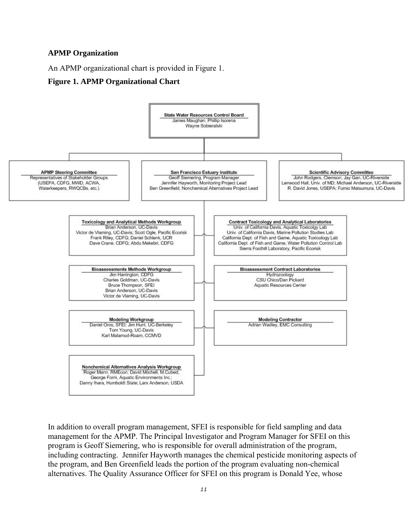#### **APMP Organization**

An APMP organizational chart is provided in Figure 1.

#### **Figure 1. APMP Organizational Chart**



In addition to overall program management, SFEI is responsible for field sampling and data management for the APMP. The Principal Investigator and Program Manager for SFEI on this program is Geoff Siemering, who is responsible for overall administration of the program, including contracting. Jennifer Hayworth manages the chemical pesticide monitoring aspects of the program, and Ben Greenfield leads the portion of the program evaluating non-chemical alternatives. The Quality Assurance Officer for SFEI on this program is Donald Yee, whose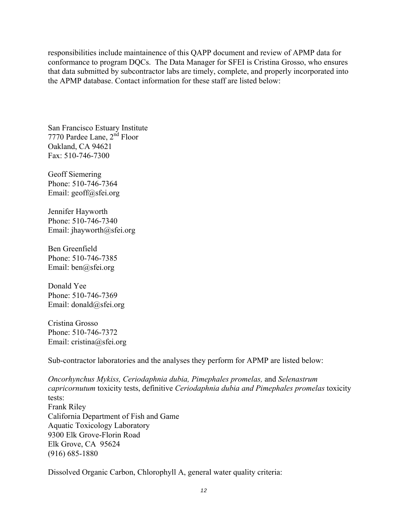responsibilities include maintainence of this QAPP document and review of APMP data for conformance to program DQCs. The Data Manager for SFEI is Cristina Grosso, who ensures that data submitted by subcontractor labs are timely, complete, and properly incorporated into the APMP database. Contact information for these staff are listed below:

San Francisco Estuary Institute 7770 Pardee Lane, 2<sup>nd</sup> Floor Oakland, CA 94621 Fax: 510-746-7300

Geoff Siemering Phone: 510-746-7364 Email: geoff@sfei.org

Jennifer Hayworth Phone: 510-746-7340 Email: jhayworth@sfei.org

Ben Greenfield Phone: 510-746-7385 Email: ben@sfei.org

Donald Yee Phone: 510-746-7369 Email: donald@sfei.org

Cristina Grosso Phone: 510-746-7372 Email: cristina@sfei.org

Sub-contractor laboratories and the analyses they perform for APMP are listed below:

*Oncorhynchus Mykiss, Ceriodaphnia dubia, Pimephales promelas,* and *Selenastrum capricornutum* toxicity tests, definitive *Ceriodaphnia dubia and Pimephales promelas* toxicity tests: Frank Riley California Department of Fish and Game Aquatic Toxicology Laboratory 9300 Elk Grove-Florin Road Elk Grove, CA 95624 (916) 685-1880

Dissolved Organic Carbon, Chlorophyll A, general water quality criteria: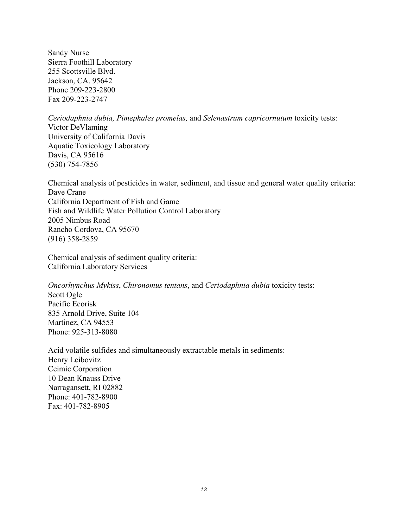Sandy Nurse Sierra Foothill Laboratory 255 Scottsville Blvd. Jackson, CA. 95642 Phone 209-223-2800 Fax 209-223-2747

*Ceriodaphnia dubia, Pimephales promelas,* and *Selenastrum capricornutum* toxicity tests: Victor DeVlaming University of California Davis Aquatic Toxicology Laboratory Davis, CA 95616 (530) 754-7856

Chemical analysis of pesticides in water, sediment, and tissue and general water quality criteria: Dave Crane California Department of Fish and Game Fish and Wildlife Water Pollution Control Laboratory 2005 Nimbus Road Rancho Cordova, CA 95670 (916) 358-2859

Chemical analysis of sediment quality criteria: California Laboratory Services

*Oncorhynchus Mykiss*, *Chironomus tentans*, and *Ceriodaphnia dubia* toxicity tests: Scott Ogle Pacific Ecorisk 835 Arnold Drive, Suite 104 Martinez, CA 94553 Phone: 925-313-8080

Acid volatile sulfides and simultaneously extractable metals in sediments: Henry Leibovitz Ceimic Corporation 10 Dean Knauss Drive Narragansett, RI 02882 Phone: 401-782-8900 Fax: 401-782-8905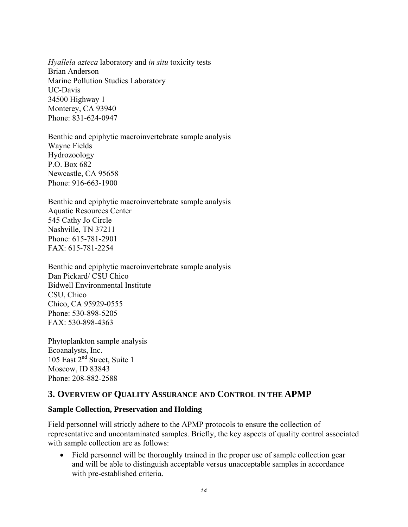*Hyallela azteca* laboratory and *in situ* toxicity tests Brian Anderson Marine Pollution Studies Laboratory UC-Davis 34500 Highway 1 Monterey, CA 93940 Phone: 831-624-0947

Benthic and epiphytic macroinvertebrate sample analysis Wayne Fields Hydrozoology P.O. Box 682 Newcastle, CA 95658 Phone: 916-663-1900

Benthic and epiphytic macroinvertebrate sample analysis Aquatic Resources Center 545 Cathy Jo Circle Nashville, TN 37211 Phone: 615-781-2901 FAX: 615-781-2254

Benthic and epiphytic macroinvertebrate sample analysis Dan Pickard/ CSU Chico Bidwell Environmental Institute CSU, Chico Chico, CA 95929-0555 Phone: 530-898-5205 FAX: 530-898-4363

Phytoplankton sample analysis Ecoanalysts, Inc. 105 East 2<sup>nd</sup> Street, Suite 1 Moscow, ID 83843 Phone: 208-882-2588

#### **3. OVERVIEW OF QUALITY ASSURANCE AND CONTROL IN THE APMP**

#### **Sample Collection, Preservation and Holding**

Field personnel will strictly adhere to the APMP protocols to ensure the collection of representative and uncontaminated samples. Briefly, the key aspects of quality control associated with sample collection are as follows:

• Field personnel will be thoroughly trained in the proper use of sample collection gear and will be able to distinguish acceptable versus unacceptable samples in accordance with pre-established criteria.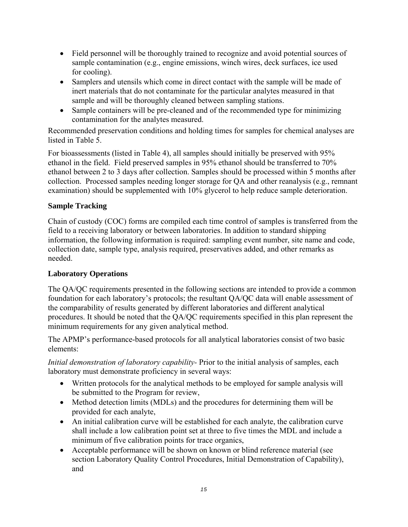- Field personnel will be thoroughly trained to recognize and avoid potential sources of sample contamination (e.g., engine emissions, winch wires, deck surfaces, ice used for cooling).
- Samplers and utensils which come in direct contact with the sample will be made of inert materials that do not contaminate for the particular analytes measured in that sample and will be thoroughly cleaned between sampling stations.
- Sample containers will be pre-cleaned and of the recommended type for minimizing contamination for the analytes measured.

Recommended preservation conditions and holding times for samples for chemical analyses are listed in Table 5.

For bioassessments (listed in Table 4), all samples should initially be preserved with 95% ethanol in the field. Field preserved samples in 95% ethanol should be transferred to 70% ethanol between 2 to 3 days after collection. Samples should be processed within 5 months after collection. Processed samples needing longer storage for QA and other reanalysis (e.g., remnant examination) should be supplemented with 10% glycerol to help reduce sample deterioration.

#### **Sample Tracking**

Chain of custody (COC) forms are compiled each time control of samples is transferred from the field to a receiving laboratory or between laboratories. In addition to standard shipping information, the following information is required: sampling event number, site name and code, collection date, sample type, analysis required, preservatives added, and other remarks as needed.

#### **Laboratory Operations**

The QA/QC requirements presented in the following sections are intended to provide a common foundation for each laboratory's protocols; the resultant QA/QC data will enable assessment of the comparability of results generated by different laboratories and different analytical procedures. It should be noted that the QA/QC requirements specified in this plan represent the minimum requirements for any given analytical method.

The APMP's performance-based protocols for all analytical laboratories consist of two basic elements:

*Initial demonstration of laboratory capability-* Prior to the initial analysis of samples, each laboratory must demonstrate proficiency in several ways:

- Written protocols for the analytical methods to be employed for sample analysis will be submitted to the Program for review,
- Method detection limits (MDLs) and the procedures for determining them will be provided for each analyte,
- An initial calibration curve will be established for each analyte, the calibration curve shall include a low calibration point set at three to five times the MDL and include a minimum of five calibration points for trace organics,
- Acceptable performance will be shown on known or blind reference material (see section Laboratory Quality Control Procedures, Initial Demonstration of Capability), and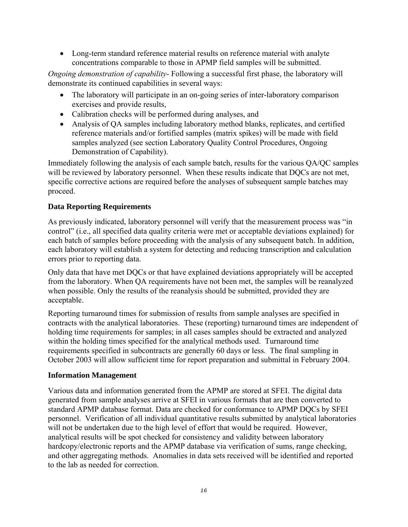• Long-term standard reference material results on reference material with analyte concentrations comparable to those in APMP field samples will be submitted.

*Ongoing demonstration of capability*- Following a successful first phase, the laboratory will demonstrate its continued capabilities in several ways:

- The laboratory will participate in an on-going series of inter-laboratory comparison exercises and provide results,
- Calibration checks will be performed during analyses, and
- Analysis of QA samples including laboratory method blanks, replicates, and certified reference materials and/or fortified samples (matrix spikes) will be made with field samples analyzed (see section Laboratory Quality Control Procedures, Ongoing Demonstration of Capability).

Immediately following the analysis of each sample batch, results for the various QA/QC samples will be reviewed by laboratory personnel. When these results indicate that DQCs are not met, specific corrective actions are required before the analyses of subsequent sample batches may proceed.

#### **Data Reporting Requirements**

As previously indicated, laboratory personnel will verify that the measurement process was "in control" (i.e., all specified data quality criteria were met or acceptable deviations explained) for each batch of samples before proceeding with the analysis of any subsequent batch. In addition, each laboratory will establish a system for detecting and reducing transcription and calculation errors prior to reporting data.

Only data that have met DQCs or that have explained deviations appropriately will be accepted from the laboratory. When QA requirements have not been met, the samples will be reanalyzed when possible. Only the results of the reanalysis should be submitted, provided they are acceptable.

Reporting turnaround times for submission of results from sample analyses are specified in contracts with the analytical laboratories. These (reporting) turnaround times are independent of holding time requirements for samples; in all cases samples should be extracted and analyzed within the holding times specified for the analytical methods used. Turnaround time requirements specified in subcontracts are generally 60 days or less. The final sampling in October 2003 will allow sufficient time for report preparation and submittal in February 2004.

#### **Information Management**

Various data and information generated from the APMP are stored at SFEI. The digital data generated from sample analyses arrive at SFEI in various formats that are then converted to standard APMP database format. Data are checked for conformance to APMP DQCs by SFEI personnel. Verification of all individual quantitative results submitted by analytical laboratories will not be undertaken due to the high level of effort that would be required. However, analytical results will be spot checked for consistency and validity between laboratory hardcopy/electronic reports and the APMP database via verification of sums, range checking, and other aggregating methods. Anomalies in data sets received will be identified and reported to the lab as needed for correction.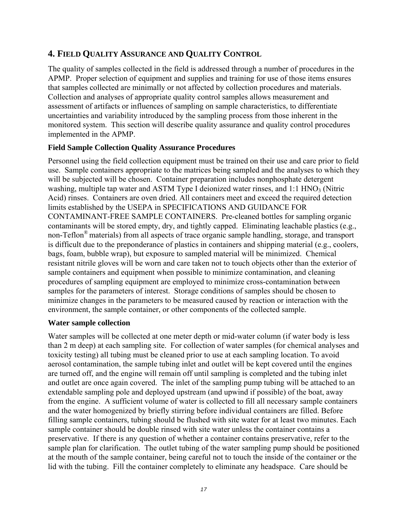# **4. FIELD QUALITY ASSURANCE AND QUALITY CONTROL**

The quality of samples collected in the field is addressed through a number of procedures in the APMP. Proper selection of equipment and supplies and training for use of those items ensures that samples collected are minimally or not affected by collection procedures and materials. Collection and analyses of appropriate quality control samples allows measurement and assessment of artifacts or influences of sampling on sample characteristics, to differentiate uncertainties and variability introduced by the sampling process from those inherent in the monitored system. This section will describe quality assurance and quality control procedures implemented in the APMP.

#### **Field Sample Collection Quality Assurance Procedures**

Personnel using the field collection equipment must be trained on their use and care prior to field use. Sample containers appropriate to the matrices being sampled and the analyses to which they will be subjected will be chosen. Container preparation includes nonphosphate detergent washing, multiple tap water and ASTM Type I deionized water rinses, and  $1:1 \text{ HNO}_3$  (Nitric Acid) rinses. Containers are oven dried. All containers meet and exceed the required detection limits established by the USEPA in SPECIFICATIONS AND GUIDANCE FOR CONTAMINANT-FREE SAMPLE CONTAINERS. Pre-cleaned bottles for sampling organic contaminants will be stored empty, dry, and tightly capped. Eliminating leachable plastics (e.g., non-Teflon® materials) from all aspects of trace organic sample handling, storage, and transport is difficult due to the preponderance of plastics in containers and shipping material (e.g., coolers, bags, foam, bubble wrap), but exposure to sampled material will be minimized. Chemical resistant nitrile gloves will be worn and care taken not to touch objects other than the exterior of sample containers and equipment when possible to minimize contamination, and cleaning procedures of sampling equipment are employed to minimize cross-contamination between samples for the parameters of interest. Storage conditions of samples should be chosen to minimize changes in the parameters to be measured caused by reaction or interaction with the environment, the sample container, or other components of the collected sample.

#### **Water sample collection**

Water samples will be collected at one meter depth or mid-water column (if water body is less than 2 m deep) at each sampling site. For collection of water samples (for chemical analyses and toxicity testing) all tubing must be cleaned prior to use at each sampling location. To avoid aerosol contamination, the sample tubing inlet and outlet will be kept covered until the engines are turned off, and the engine will remain off until sampling is completed and the tubing inlet and outlet are once again covered. The inlet of the sampling pump tubing will be attached to an extendable sampling pole and deployed upstream (and upwind if possible) of the boat, away from the engine. A sufficient volume of water is collected to fill all necessary sample containers and the water homogenized by briefly stirring before individual containers are filled. Before filling sample containers, tubing should be flushed with site water for at least two minutes. Each sample container should be double rinsed with site water unless the container contains a preservative. If there is any question of whether a container contains preservative, refer to the sample plan for clarification. The outlet tubing of the water sampling pump should be positioned at the mouth of the sample container, being careful not to touch the inside of the container or the lid with the tubing. Fill the container completely to eliminate any headspace. Care should be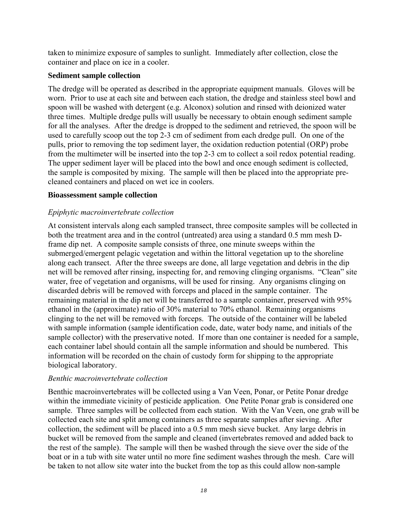taken to minimize exposure of samples to sunlight. Immediately after collection, close the container and place on ice in a cooler.

#### **Sediment sample collection**

The dredge will be operated as described in the appropriate equipment manuals. Gloves will be worn. Prior to use at each site and between each station, the dredge and stainless steel bowl and spoon will be washed with detergent (e.g. Alconox) solution and rinsed with deionized water three times. Multiple dredge pulls will usually be necessary to obtain enough sediment sample for all the analyses. After the dredge is dropped to the sediment and retrieved, the spoon will be used to carefully scoop out the top 2-3 cm of sediment from each dredge pull. On one of the pulls, prior to removing the top sediment layer, the oxidation reduction potential (ORP) probe from the multimeter will be inserted into the top 2-3 cm to collect a soil redox potential reading. The upper sediment layer will be placed into the bowl and once enough sediment is collected, the sample is composited by mixing. The sample will then be placed into the appropriate precleaned containers and placed on wet ice in coolers.

#### **Bioassessment sample collection**

#### *Epiphytic macroinvertebrate collection*

At consistent intervals along each sampled transect, three composite samples will be collected in both the treatment area and in the control (untreated) area using a standard 0.5 mm mesh Dframe dip net. A composite sample consists of three, one minute sweeps within the submerged/emergent pelagic vegetation and within the littoral vegetation up to the shoreline along each transect. After the three sweeps are done, all large vegetation and debris in the dip net will be removed after rinsing, inspecting for, and removing clinging organisms. "Clean" site water, free of vegetation and organisms, will be used for rinsing. Any organisms clinging on discarded debris will be removed with forceps and placed in the sample container. The remaining material in the dip net will be transferred to a sample container, preserved with 95% ethanol in the (approximate) ratio of 30% material to 70% ethanol. Remaining organisms clinging to the net will be removed with forceps. The outside of the container will be labeled with sample information (sample identification code, date, water body name, and initials of the sample collector) with the preservative noted. If more than one container is needed for a sample, each container label should contain all the sample information and should be numbered. This information will be recorded on the chain of custody form for shipping to the appropriate biological laboratory.

#### *Benthic macroinvertebrate collection*

Benthic macroinvertebrates will be collected using a Van Veen, Ponar, or Petite Ponar dredge within the immediate vicinity of pesticide application. One Petite Ponar grab is considered one sample. Three samples will be collected from each station. With the Van Veen, one grab will be collected each site and split among containers as three separate samples after sieving. After collection, the sediment will be placed into a 0.5 mm mesh sieve bucket. Any large debris in bucket will be removed from the sample and cleaned (invertebrates removed and added back to the rest of the sample). The sample will then be washed through the sieve over the side of the boat or in a tub with site water until no more fine sediment washes through the mesh. Care will be taken to not allow site water into the bucket from the top as this could allow non-sample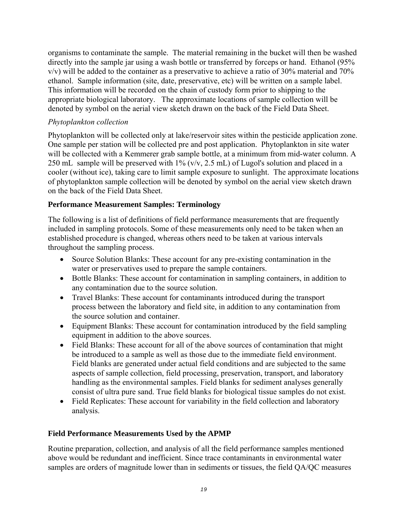organisms to contaminate the sample. The material remaining in the bucket will then be washed directly into the sample jar using a wash bottle or transferred by forceps or hand. Ethanol (95% v/v) will be added to the container as a preservative to achieve a ratio of 30% material and 70% ethanol. Sample information (site, date, preservative, etc) will be written on a sample label. This information will be recorded on the chain of custody form prior to shipping to the appropriate biological laboratory. The approximate locations of sample collection will be denoted by symbol on the aerial view sketch drawn on the back of the Field Data Sheet.

#### *Phytoplankton collection*

Phytoplankton will be collected only at lake/reservoir sites within the pesticide application zone. One sample per station will be collected pre and post application. Phytoplankton in site water will be collected with a Kemmerer grab sample bottle, at a minimum from mid-water column. A 250 mL sample will be preserved with 1% (v/v, 2.5 mL) of Lugol's solution and placed in a cooler (without ice), taking care to limit sample exposure to sunlight. The approximate locations of phytoplankton sample collection will be denoted by symbol on the aerial view sketch drawn on the back of the Field Data Sheet.

### **Performance Measurement Samples: Terminology**

The following is a list of definitions of field performance measurements that are frequently included in sampling protocols. Some of these measurements only need to be taken when an established procedure is changed, whereas others need to be taken at various intervals throughout the sampling process.

- Source Solution Blanks: These account for any pre-existing contamination in the water or preservatives used to prepare the sample containers.
- Bottle Blanks: These account for contamination in sampling containers, in addition to any contamination due to the source solution.
- Travel Blanks: These account for contaminants introduced during the transport process between the laboratory and field site, in addition to any contamination from the source solution and container.
- Equipment Blanks: These account for contamination introduced by the field sampling equipment in addition to the above sources.
- Field Blanks: These account for all of the above sources of contamination that might be introduced to a sample as well as those due to the immediate field environment. Field blanks are generated under actual field conditions and are subjected to the same aspects of sample collection, field processing, preservation, transport, and laboratory handling as the environmental samples. Field blanks for sediment analyses generally consist of ultra pure sand. True field blanks for biological tissue samples do not exist.
- Field Replicates: These account for variability in the field collection and laboratory analysis.

#### **Field Performance Measurements Used by the APMP**

Routine preparation, collection, and analysis of all the field performance samples mentioned above would be redundant and inefficient. Since trace contaminants in environmental water samples are orders of magnitude lower than in sediments or tissues, the field QA/QC measures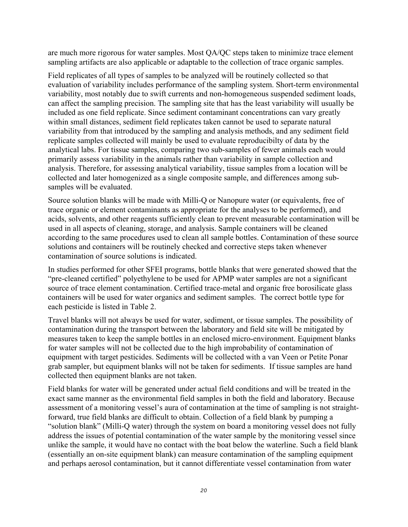are much more rigorous for water samples. Most QA/QC steps taken to minimize trace element sampling artifacts are also applicable or adaptable to the collection of trace organic samples.

Field replicates of all types of samples to be analyzed will be routinely collected so that evaluation of variability includes performance of the sampling system. Short-term environmental variability, most notably due to swift currents and non-homogeneous suspended sediment loads, can affect the sampling precision. The sampling site that has the least variability will usually be included as one field replicate. Since sediment contaminant concentrations can vary greatly within small distances, sediment field replicates taken cannot be used to separate natural variability from that introduced by the sampling and analysis methods, and any sediment field replicate samples collected will mainly be used to evaluate reproducibilty of data by the analytical labs. For tissue samples, comparing two sub-samples of fewer animals each would primarily assess variability in the animals rather than variability in sample collection and analysis. Therefore, for assessing analytical variability, tissue samples from a location will be collected and later homogenized as a single composite sample, and differences among subsamples will be evaluated.

Source solution blanks will be made with Milli-Q or Nanopure water (or equivalents, free of trace organic or element contaminants as appropriate for the analyses to be performed), and acids, solvents, and other reagents sufficiently clean to prevent measurable contamination will be used in all aspects of cleaning, storage, and analysis. Sample containers will be cleaned according to the same procedures used to clean all sample bottles. Contamination of these source solutions and containers will be routinely checked and corrective steps taken whenever contamination of source solutions is indicated.

In studies performed for other SFEI programs, bottle blanks that were generated showed that the "pre-cleaned certified" polyethylene to be used for APMP water samples are not a significant source of trace element contamination. Certified trace-metal and organic free borosilicate glass containers will be used for water organics and sediment samples. The correct bottle type for each pesticide is listed in Table 2.

Travel blanks will not always be used for water, sediment, or tissue samples. The possibility of contamination during the transport between the laboratory and field site will be mitigated by measures taken to keep the sample bottles in an enclosed micro-environment. Equipment blanks for water samples will not be collected due to the high improbability of contamination of equipment with target pesticides. Sediments will be collected with a van Veen or Petite Ponar grab sampler, but equipment blanks will not be taken for sediments. If tissue samples are hand collected then equipment blanks are not taken.

Field blanks for water will be generated under actual field conditions and will be treated in the exact same manner as the environmental field samples in both the field and laboratory. Because assessment of a monitoring vessel's aura of contamination at the time of sampling is not straightforward, true field blanks are difficult to obtain. Collection of a field blank by pumping a "solution blank" (Milli-Q water) through the system on board a monitoring vessel does not fully address the issues of potential contamination of the water sample by the monitoring vessel since unlike the sample, it would have no contact with the boat below the waterline. Such a field blank (essentially an on-site equipment blank) can measure contamination of the sampling equipment and perhaps aerosol contamination, but it cannot differentiate vessel contamination from water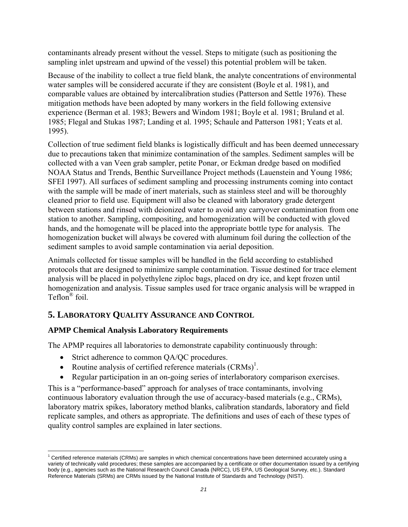contaminants already present without the vessel. Steps to mitigate (such as positioning the sampling inlet upstream and upwind of the vessel) this potential problem will be taken.

Because of the inability to collect a true field blank, the analyte concentrations of environmental water samples will be considered accurate if they are consistent (Boyle et al. 1981), and comparable values are obtained by intercalibration studies (Patterson and Settle 1976). These mitigation methods have been adopted by many workers in the field following extensive experience (Berman et al. 1983; Bewers and Windom 1981; Boyle et al. 1981; Bruland et al. 1985; Flegal and Stukas 1987; Landing et al. 1995; Schaule and Patterson 1981; Yeats et al. 1995).

Collection of true sediment field blanks is logistically difficult and has been deemed unnecessary due to precautions taken that minimize contamination of the samples. Sediment samples will be collected with a van Veen grab sampler, petite Ponar, or Eckman dredge based on modified NOAA Status and Trends, Benthic Surveillance Project methods (Lauenstein and Young 1986; SFEI 1997). All surfaces of sediment sampling and processing instruments coming into contact with the sample will be made of inert materials, such as stainless steel and will be thoroughly cleaned prior to field use. Equipment will also be cleaned with laboratory grade detergent between stations and rinsed with deionized water to avoid any carryover contamination from one station to another. Sampling, compositing, and homogenization will be conducted with gloved hands, and the homogenate will be placed into the appropriate bottle type for analysis. The homogenization bucket will always be covered with aluminum foil during the collection of the sediment samples to avoid sample contamination via aerial deposition.

Animals collected for tissue samples will be handled in the field according to established protocols that are designed to minimize sample contamination. Tissue destined for trace element analysis will be placed in polyethylene ziploc bags, placed on dry ice, and kept frozen until homogenization and analysis. Tissue samples used for trace organic analysis will be wrapped in Teflon® foil.

# **5. LABORATORY QUALITY ASSURANCE AND CONTROL**

# **APMP Chemical Analysis Laboratory Requirements**

 $\overline{a}$ 

The APMP requires all laboratories to demonstrate capability continuously through:

- Strict adherence to common QA/QC procedures.
- Routine analysis of certified reference materials  $(CRMs)^{1}$ .
- Regular participation in an on-going series of interlaboratory comparison exercises.

This is a "performance-based" approach for analyses of trace contaminants, involving continuous laboratory evaluation through the use of accuracy-based materials (e.g., CRMs), laboratory matrix spikes, laboratory method blanks, calibration standards, laboratory and field replicate samples, and others as appropriate. The definitions and uses of each of these types of quality control samples are explained in later sections.

<sup>&</sup>lt;sup>1</sup> Certified reference materials (CRMs) are samples in which chemical concentrations have been determined accurately using a variety of technically valid procedures; these samples are accompanied by a certificate or other documentation issued by a certifying body (e.g., agencies such as the National Research Council Canada (NRCC), US EPA, US Geological Survey, etc.). Standard Reference Materials (SRMs) are CRMs issued by the National Institute of Standards and Technology (NIST).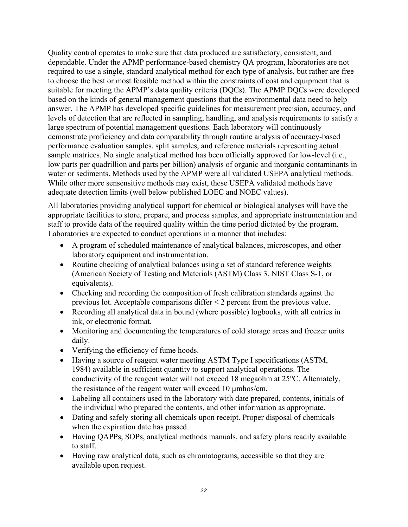Quality control operates to make sure that data produced are satisfactory, consistent, and dependable. Under the APMP performance-based chemistry QA program, laboratories are not required to use a single, standard analytical method for each type of analysis, but rather are free to choose the best or most feasible method within the constraints of cost and equipment that is suitable for meeting the APMP's data quality criteria (DQCs). The APMP DQCs were developed based on the kinds of general management questions that the environmental data need to help answer. The APMP has developed specific guidelines for measurement precision, accuracy, and levels of detection that are reflected in sampling, handling, and analysis requirements to satisfy a large spectrum of potential management questions. Each laboratory will continuously demonstrate proficiency and data comparability through routine analysis of accuracy-based performance evaluation samples, split samples, and reference materials representing actual sample matrices. No single analytical method has been officially approved for low-level (i.e., low parts per quadrillion and parts per billion) analysis of organic and inorganic contaminants in water or sediments. Methods used by the APMP were all validated USEPA analytical methods. While other more sensensitive methods may exist, these USEPA validated methods have adequate detection limits (well below published LOEC and NOEC values).

All laboratories providing analytical support for chemical or biological analyses will have the appropriate facilities to store, prepare, and process samples, and appropriate instrumentation and staff to provide data of the required quality within the time period dictated by the program. Laboratories are expected to conduct operations in a manner that includes:

- A program of scheduled maintenance of analytical balances, microscopes, and other laboratory equipment and instrumentation.
- Routine checking of analytical balances using a set of standard reference weights (American Society of Testing and Materials (ASTM) Class 3, NIST Class S-1, or equivalents).
- Checking and recording the composition of fresh calibration standards against the previous lot. Acceptable comparisons differ < 2 percent from the previous value.
- Recording all analytical data in bound (where possible) logbooks, with all entries in ink, or electronic format.
- Monitoring and documenting the temperatures of cold storage areas and freezer units daily.
- Verifying the efficiency of fume hoods.
- Having a source of reagent water meeting ASTM Type I specifications (ASTM, 1984) available in sufficient quantity to support analytical operations. The conductivity of the reagent water will not exceed 18 megaohm at 25°C. Alternately, the resistance of the reagent water will exceed 10 µmhos/cm.
- Labeling all containers used in the laboratory with date prepared, contents, initials of the individual who prepared the contents, and other information as appropriate.
- Dating and safely storing all chemicals upon receipt. Proper disposal of chemicals when the expiration date has passed.
- Having QAPPs, SOPs, analytical methods manuals, and safety plans readily available to staff.
- Having raw analytical data, such as chromatograms, accessible so that they are available upon request.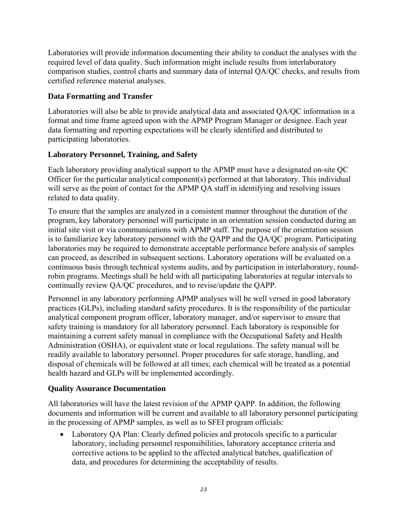Laboratories will provide information documenting their ability to conduct the analyses with the required level of data quality. Such information might include results from interlaboratory comparison studies, control charts and summary data of internal QA/QC checks, and results from certified reference material analyses.

#### **Data Formatting and Transfer**

Laboratories will also be able to provide analytical data and associated QA/QC information in a format and time frame agreed upon with the APMP Program Manager or designee. Each year data formatting and reporting expectations will be clearly identified and distributed to participating laboratories.

#### **Laboratory Personnel, Training, and Safety**

Each laboratory providing analytical support to the APMP must have a designated on-site QC Officer for the particular analytical component(s) performed at that laboratory. This individual will serve as the point of contact for the APMP QA staff in identifying and resolving issues related to data quality.

To ensure that the samples are analyzed in a consistent manner throughout the duration of the program, key laboratory personnel will participate in an orientation session conducted during an initial site visit or via communications with APMP staff. The purpose of the orientation session is to familiarize key laboratory personnel with the QAPP and the QA/QC program. Participating laboratories may be required to demonstrate acceptable performance before analysis of samples can proceed, as described in subsequent sections. Laboratory operations will be evaluated on a continuous basis through technical systems audits, and by participation in interlaboratory, roundrobin programs. Meetings shall be held with all participating laboratories at regular intervals to continually review QA/QC procedures, and to revise/update the QAPP.

Personnel in any laboratory performing APMP analyses will be well versed in good laboratory practices (GLPs), including standard safety procedures. It is the responsibility of the particular analytical component program officer, laboratory manager, and/or supervisor to ensure that safety training is mandatory for all laboratory personnel. Each laboratory is responsible for maintaining a current safety manual in compliance with the Occupational Safety and Health Administration (OSHA), or equivalent state or local regulations. The safety manual will be readily available to laboratory personnel. Proper procedures for safe storage, handling, and disposal of chemicals will be followed at all times; each chemical will be treated as a potential health hazard and GLPs will be implemented accordingly.

#### **Quality Assurance Documentation**

All laboratories will have the latest revision of the APMP QAPP. In addition, the following documents and information will be current and available to all laboratory personnel participating in the processing of APMP samples, as well as to SFEI program officials:

• Laboratory QA Plan: Clearly defined policies and protocols specific to a particular laboratory, including personnel responsibilities, laboratory acceptance criteria and corrective actions to be applied to the affected analytical batches, qualification of data, and procedures for determining the acceptability of results.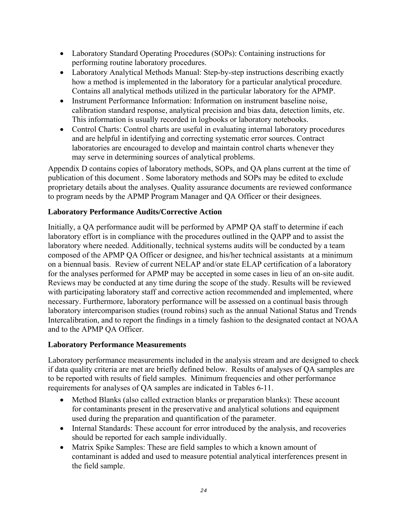- Laboratory Standard Operating Procedures (SOPs): Containing instructions for performing routine laboratory procedures.
- Laboratory Analytical Methods Manual: Step-by-step instructions describing exactly how a method is implemented in the laboratory for a particular analytical procedure. Contains all analytical methods utilized in the particular laboratory for the APMP.
- Instrument Performance Information: Information on instrument baseline noise, calibration standard response, analytical precision and bias data, detection limits, etc. This information is usually recorded in logbooks or laboratory notebooks.
- Control Charts: Control charts are useful in evaluating internal laboratory procedures and are helpful in identifying and correcting systematic error sources. Contract laboratories are encouraged to develop and maintain control charts whenever they may serve in determining sources of analytical problems.

Appendix D contains copies of laboratory methods, SOPs, and QA plans current at the time of publication of this document . Some laboratory methods and SOPs may be edited to exclude proprietary details about the analyses. Quality assurance documents are reviewed conformance to program needs by the APMP Program Manager and QA Officer or their designees.

#### **Laboratory Performance Audits/Corrective Action**

Initially, a QA performance audit will be performed by APMP QA staff to determine if each laboratory effort is in compliance with the procedures outlined in the QAPP and to assist the laboratory where needed. Additionally, technical systems audits will be conducted by a team composed of the APMP QA Officer or designee, and his/her technical assistants at a minimum on a biennual basis. Review of current NELAP and/or state ELAP certification of a laboratory for the analyses performed for APMP may be accepted in some cases in lieu of an on-site audit. Reviews may be conducted at any time during the scope of the study. Results will be reviewed with participating laboratory staff and corrective action recommended and implemented, where necessary. Furthermore, laboratory performance will be assessed on a continual basis through laboratory intercomparison studies (round robins) such as the annual National Status and Trends Intercalibration, and to report the findings in a timely fashion to the designated contact at NOAA and to the APMP QA Officer.

#### **Laboratory Performance Measurements**

Laboratory performance measurements included in the analysis stream and are designed to check if data quality criteria are met are briefly defined below. Results of analyses of QA samples are to be reported with results of field samples. Minimum frequencies and other performance requirements for analyses of QA samples are indicated in Tables 6-11.

- Method Blanks (also called extraction blanks or preparation blanks): These account for contaminants present in the preservative and analytical solutions and equipment used during the preparation and quantification of the parameter.
- Internal Standards: These account for error introduced by the analysis, and recoveries should be reported for each sample individually.
- Matrix Spike Samples: These are field samples to which a known amount of contaminant is added and used to measure potential analytical interferences present in the field sample.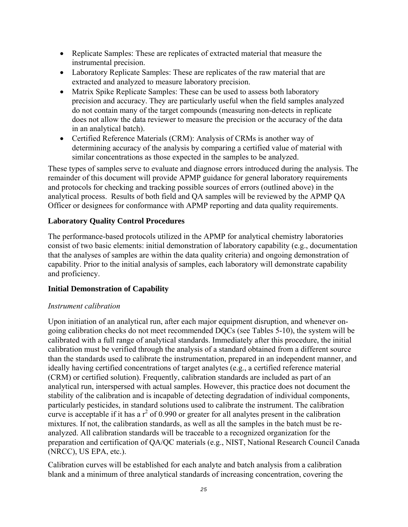- Replicate Samples: These are replicates of extracted material that measure the instrumental precision.
- Laboratory Replicate Samples: These are replicates of the raw material that are extracted and analyzed to measure laboratory precision.
- Matrix Spike Replicate Samples: These can be used to assess both laboratory precision and accuracy. They are particularly useful when the field samples analyzed do not contain many of the target compounds (measuring non-detects in replicate does not allow the data reviewer to measure the precision or the accuracy of the data in an analytical batch).
- Certified Reference Materials (CRM): Analysis of CRMs is another way of determining accuracy of the analysis by comparing a certified value of material with similar concentrations as those expected in the samples to be analyzed.

These types of samples serve to evaluate and diagnose errors introduced during the analysis. The remainder of this document will provide APMP guidance for general laboratory requirements and protocols for checking and tracking possible sources of errors (outlined above) in the analytical process. Results of both field and QA samples will be reviewed by the APMP QA Officer or designees for conformance with APMP reporting and data quality requirements.

#### **Laboratory Quality Control Procedures**

The performance-based protocols utilized in the APMP for analytical chemistry laboratories consist of two basic elements: initial demonstration of laboratory capability (e.g., documentation that the analyses of samples are within the data quality criteria) and ongoing demonstration of capability. Prior to the initial analysis of samples, each laboratory will demonstrate capability and proficiency.

### **Initial Demonstration of Capability**

#### *Instrument calibration*

Upon initiation of an analytical run, after each major equipment disruption, and whenever ongoing calibration checks do not meet recommended DQCs (see Tables 5-10), the system will be calibrated with a full range of analytical standards. Immediately after this procedure, the initial calibration must be verified through the analysis of a standard obtained from a different source than the standards used to calibrate the instrumentation, prepared in an independent manner, and ideally having certified concentrations of target analytes (e.g., a certified reference material (CRM) or certified solution). Frequently, calibration standards are included as part of an analytical run, interspersed with actual samples. However, this practice does not document the stability of the calibration and is incapable of detecting degradation of individual components, particularly pesticides, in standard solutions used to calibrate the instrument. The calibration curve is acceptable if it has a  $r^2$  of 0.990 or greater for all analytes present in the calibration mixtures. If not, the calibration standards, as well as all the samples in the batch must be reanalyzed. All calibration standards will be traceable to a recognized organization for the preparation and certification of QA/QC materials (e.g., NIST, National Research Council Canada (NRCC), US EPA, etc.).

Calibration curves will be established for each analyte and batch analysis from a calibration blank and a minimum of three analytical standards of increasing concentration, covering the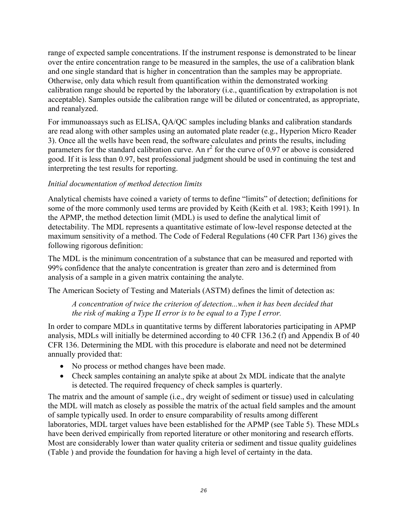range of expected sample concentrations. If the instrument response is demonstrated to be linear over the entire concentration range to be measured in the samples, the use of a calibration blank and one single standard that is higher in concentration than the samples may be appropriate. Otherwise, only data which result from quantification within the demonstrated working calibration range should be reported by the laboratory (i.e., quantification by extrapolation is not acceptable). Samples outside the calibration range will be diluted or concentrated, as appropriate, and reanalyzed.

For immunoassays such as ELISA, QA/QC samples including blanks and calibration standards are read along with other samples using an automated plate reader (e.g., Hyperion Micro Reader 3). Once all the wells have been read, the software calculates and prints the results, including parameters for the standard calibration curve. An  $r^2$  for the curve of 0.97 or above is considered good. If it is less than 0.97, best professional judgment should be used in continuing the test and interpreting the test results for reporting.

#### *Initial documentation of method detection limits*

Analytical chemists have coined a variety of terms to define "limits" of detection; definitions for some of the more commonly used terms are provided by Keith (Keith et al. 1983; Keith 1991). In the APMP, the method detection limit (MDL) is used to define the analytical limit of detectability. The MDL represents a quantitative estimate of low-level response detected at the maximum sensitivity of a method. The Code of Federal Regulations (40 CFR Part 136) gives the following rigorous definition:

The MDL is the minimum concentration of a substance that can be measured and reported with 99% confidence that the analyte concentration is greater than zero and is determined from analysis of a sample in a given matrix containing the analyte.

The American Society of Testing and Materials (ASTM) defines the limit of detection as:

*A concentration of twice the criterion of detection...when it has been decided that the risk of making a Type II error is to be equal to a Type I error.* 

In order to compare MDLs in quantitative terms by different laboratories participating in APMP analysis, MDLs will initially be determined according to 40 CFR 136.2 (f) and Appendix B of 40 CFR 136. Determining the MDL with this procedure is elaborate and need not be determined annually provided that:

- No process or method changes have been made.
- Check samples containing an analyte spike at about 2x MDL indicate that the analyte is detected. The required frequency of check samples is quarterly.

The matrix and the amount of sample (i.e., dry weight of sediment or tissue) used in calculating the MDL will match as closely as possible the matrix of the actual field samples and the amount of sample typically used. In order to ensure comparability of results among different laboratories, MDL target values have been established for the APMP (see Table 5). These MDLs have been derived empirically from reported literature or other monitoring and research efforts. Most are considerably lower than water quality criteria or sediment and tissue quality guidelines (Table ) and provide the foundation for having a high level of certainty in the data.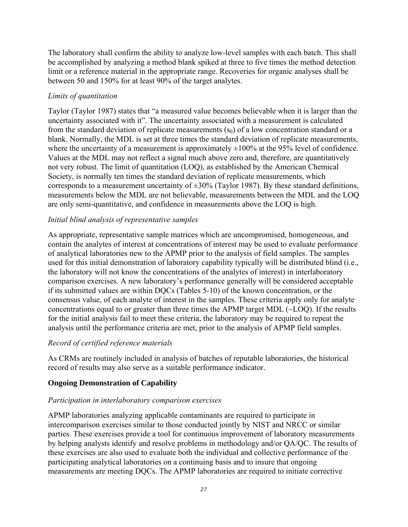The laboratory shall confirm the ability to analyze low-level samples with each batch. This shall be accomplished by analyzing a method blank spiked at three to five times the method detection limit or a reference material in the appropriate range. Recoveries for organic analyses shall be between 50 and 150% for at least 90% of the target analytes.

#### *Limits of quantitation*

Taylor (Taylor 1987) states that "a measured value becomes believable when it is larger than the uncertainty associated with it". The uncertainty associated with a measurement is calculated from the standard deviation of replicate measurements  $(s_0)$  of a low concentration standard or a blank. Normally, the MDL is set at three times the standard deviation of replicate measurements, where the uncertainty of a measurement is approximately  $\pm 100\%$  at the 95% level of confidence. Values at the MDL may not reflect a signal much above zero and, therefore, are quantitatively not very robust. The limit of quantitation (LOQ), as established by the American Chemical Society, is normally ten times the standard deviation of replicate measurements, which corresponds to a measurement uncertainty of  $\pm 30\%$  (Taylor 1987). By these standard definitions, measurements below the MDL are not believable, measurements between the MDL and the LOQ are only semi-quantitative, and confidence in measurements above the LOQ is high.

#### *Initial blind analysis of representative samples*

As appropriate, representative sample matrices which are uncompromised, homogeneous, and contain the analytes of interest at concentrations of interest may be used to evaluate performance of analytical laboratories new to the APMP prior to the analysis of field samples. The samples used for this initial demonstration of laboratory capability typically will be distributed blind (i.e., the laboratory will not know the concentrations of the analytes of interest) in interlaboratory comparison exercises. A new laboratory's performance generally will be considered acceptable if its submitted values are within DQCs (Tables 5-10) of the known concentration, or the consensus value, of each analyte of interest in the samples. These criteria apply only for analyte concentrations equal to or greater than three times the APMP target MDL (~LOQ). If the results for the initial analysis fail to meet these criteria, the laboratory may be required to repeat the analysis until the performance criteria are met, prior to the analysis of APMP field samples.

#### *Record of certified reference materials*

As CRMs are routinely included in analysis of batches of reputable laboratories, the historical record of results may also serve as a suitable performance indicator.

### **Ongoing Demonstration of Capability**

#### *Participation in interlaboratory comparison exercises*

APMP laboratories analyzing applicable contaminants are required to participate in intercomparison exercises similar to those conducted jointly by NIST and NRCC or similar parties. These exercises provide a tool for continuous improvement of laboratory measurements by helping analysts identify and resolve problems in methodology and/or QA/QC. The results of these exercises are also used to evaluate both the individual and collective performance of the participating analytical laboratories on a continuing basis and to insure that ongoing measurements are meeting DQCs. The APMP laboratories are required to initiate corrective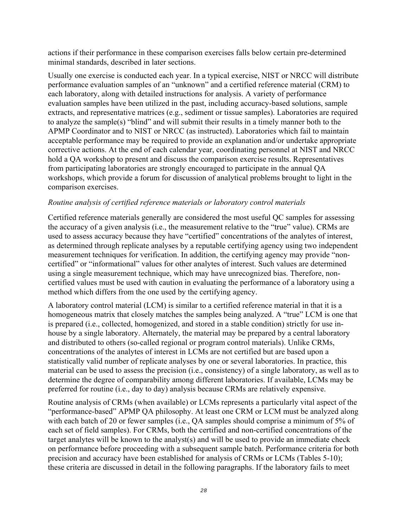actions if their performance in these comparison exercises falls below certain pre-determined minimal standards, described in later sections.

Usually one exercise is conducted each year. In a typical exercise, NIST or NRCC will distribute performance evaluation samples of an "unknown" and a certified reference material (CRM) to each laboratory, along with detailed instructions for analysis. A variety of performance evaluation samples have been utilized in the past, including accuracy-based solutions, sample extracts, and representative matrices (e.g., sediment or tissue samples). Laboratories are required to analyze the sample(s) "blind" and will submit their results in a timely manner both to the APMP Coordinator and to NIST or NRCC (as instructed). Laboratories which fail to maintain acceptable performance may be required to provide an explanation and/or undertake appropriate corrective actions. At the end of each calendar year, coordinating personnel at NIST and NRCC hold a QA workshop to present and discuss the comparison exercise results. Representatives from participating laboratories are strongly encouraged to participate in the annual QA workshops, which provide a forum for discussion of analytical problems brought to light in the comparison exercises.

#### *Routine analysis of certified reference materials or laboratory control materials*

Certified reference materials generally are considered the most useful QC samples for assessing the accuracy of a given analysis (i.e., the measurement relative to the "true" value). CRMs are used to assess accuracy because they have "certified" concentrations of the analytes of interest, as determined through replicate analyses by a reputable certifying agency using two independent measurement techniques for verification. In addition, the certifying agency may provide "noncertified" or "informational" values for other analytes of interest. Such values are determined using a single measurement technique, which may have unrecognized bias. Therefore, noncertified values must be used with caution in evaluating the performance of a laboratory using a method which differs from the one used by the certifying agency.

A laboratory control material (LCM) is similar to a certified reference material in that it is a homogeneous matrix that closely matches the samples being analyzed. A "true" LCM is one that is prepared (i.e., collected, homogenized, and stored in a stable condition) strictly for use inhouse by a single laboratory. Alternately, the material may be prepared by a central laboratory and distributed to others (so-called regional or program control materials). Unlike CRMs, concentrations of the analytes of interest in LCMs are not certified but are based upon a statistically valid number of replicate analyses by one or several laboratories. In practice, this material can be used to assess the precision (i.e., consistency) of a single laboratory, as well as to determine the degree of comparability among different laboratories. If available, LCMs may be preferred for routine (i.e., day to day) analysis because CRMs are relatively expensive.

Routine analysis of CRMs (when available) or LCMs represents a particularly vital aspect of the "performance-based" APMP QA philosophy. At least one CRM or LCM must be analyzed along with each batch of 20 or fewer samples (i.e., QA samples should comprise a minimum of 5% of each set of field samples). For CRMs, both the certified and non-certified concentrations of the target analytes will be known to the analyst(s) and will be used to provide an immediate check on performance before proceeding with a subsequent sample batch. Performance criteria for both precision and accuracy have been established for analysis of CRMs or LCMs (Tables 5-10); these criteria are discussed in detail in the following paragraphs. If the laboratory fails to meet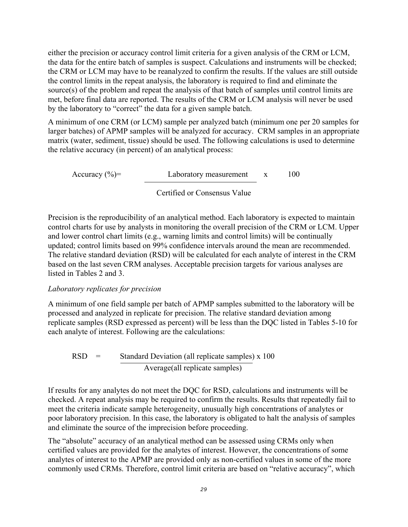either the precision or accuracy control limit criteria for a given analysis of the CRM or LCM, the data for the entire batch of samples is suspect. Calculations and instruments will be checked; the CRM or LCM may have to be reanalyzed to confirm the results. If the values are still outside the control limits in the repeat analysis, the laboratory is required to find and eliminate the source(s) of the problem and repeat the analysis of that batch of samples until control limits are met, before final data are reported. The results of the CRM or LCM analysis will never be used by the laboratory to "correct" the data for a given sample batch.

A minimum of one CRM (or LCM) sample per analyzed batch (minimum one per 20 samples for larger batches) of APMP samples will be analyzed for accuracy. CRM samples in an appropriate matrix (water, sediment, tissue) should be used. The following calculations is used to determine the relative accuracy (in percent) of an analytical process:

Accuracy  $(\%)$  = Laboratory measurement x 100

#### Certified or Consensus Value

Precision is the reproducibility of an analytical method. Each laboratory is expected to maintain control charts for use by analysts in monitoring the overall precision of the CRM or LCM. Upper and lower control chart limits (e.g., warning limits and control limits) will be continually updated; control limits based on 99% confidence intervals around the mean are recommended. The relative standard deviation (RSD) will be calculated for each analyte of interest in the CRM based on the last seven CRM analyses. Acceptable precision targets for various analyses are listed in Tables 2 and 3.

#### *Laboratory replicates for precision*

A minimum of one field sample per batch of APMP samples submitted to the laboratory will be processed and analyzed in replicate for precision. The relative standard deviation among replicate samples (RSD expressed as percent) will be less than the DQC listed in Tables 5-10 for each analyte of interest. Following are the calculations:

 $RSD =$  Standard Deviation (all replicate samples) x 100 Average(all replicate samples)

If results for any analytes do not meet the DQC for RSD, calculations and instruments will be checked. A repeat analysis may be required to confirm the results. Results that repeatedly fail to meet the criteria indicate sample heterogeneity, unusually high concentrations of analytes or poor laboratory precision. In this case, the laboratory is obligated to halt the analysis of samples and eliminate the source of the imprecision before proceeding.

The "absolute" accuracy of an analytical method can be assessed using CRMs only when certified values are provided for the analytes of interest. However, the concentrations of some analytes of interest to the APMP are provided only as non-certified values in some of the more commonly used CRMs. Therefore, control limit criteria are based on "relative accuracy", which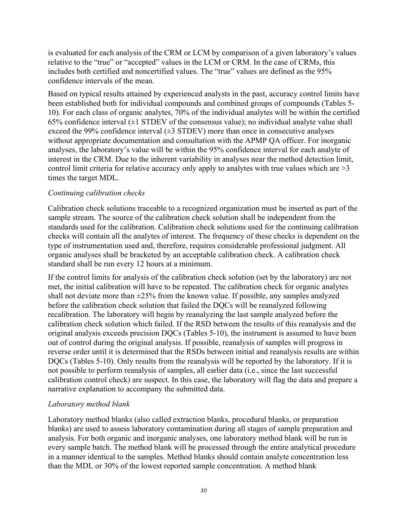is evaluated for each analysis of the CRM or LCM by comparison of a given laboratory's values relative to the "true" or "accepted" values in the LCM or CRM. In the case of CRMs, this includes both certified and noncertified values. The "true" values are defined as the 95% confidence intervals of the mean.

Based on typical results attained by experienced analysts in the past, accuracy control limits have been established both for individual compounds and combined groups of compounds (Tables 5- 10). For each class of organic analytes, 70% of the individual analytes will be within the certified 65% confidence interval  $(\pm 1$  STDEV of the consensus value); no individual analyte value shall exceed the 99% confidence interval  $(\pm 3$  STDEV) more than once in consecutive analyses without appropriate documentation and consultation with the APMP QA officer. For inorganic analyses, the laboratory's value will be within the 95% confidence interval for each analyte of interest in the CRM. Due to the inherent variability in analyses near the method detection limit, control limit criteria for relative accuracy only apply to analytes with true values which are >3 times the target MDL.

#### *Continuing calibration checks*

Calibration check solutions traceable to a recognized organization must be inserted as part of the sample stream. The source of the calibration check solution shall be independent from the standards used for the calibration. Calibration check solutions used for the continuing calibration checks will contain all the analytes of interest. The frequency of these checks is dependent on the type of instrumentation used and, therefore, requires considerable professional judgment. All organic analyses shall be bracketed by an acceptable calibration check. A calibration check standard shall be run every 12 hours at a minimum.

If the control limits for analysis of the calibration check solution (set by the laboratory) are not met, the initial calibration will have to be repeated. The calibration check for organic analytes shall not deviate more than  $\pm 25\%$  from the known value. If possible, any samples analyzed before the calibration check solution that failed the DQCs will be reanalyzed following recalibration. The laboratory will begin by reanalyzing the last sample analyzed before the calibration check solution which failed. If the RSD between the results of this reanalysis and the original analysis exceeds precision DQCs (Tables 5-10), the instrument is assumed to have been out of control during the original analysis. If possible, reanalysis of samples will progress in reverse order until it is determined that the RSDs between initial and reanalysis results are within DQCs (Tables 5-10). Only results from the reanalysis will be reported by the laboratory. If it is not possible to perform reanalysis of samples, all earlier data (i.e., since the last successful calibration control check) are suspect. In this case, the laboratory will flag the data and prepare a narrative explanation to accompany the submitted data.

#### *Laboratory method blank*

Laboratory method blanks (also called extraction blanks, procedural blanks, or preparation blanks) are used to assess laboratory contamination during all stages of sample preparation and analysis. For both organic and inorganic analyses, one laboratory method blank will be run in every sample batch. The method blank will be processed through the entire analytical procedure in a manner identical to the samples. Method blanks should contain analyte concentration less than the MDL or 30% of the lowest reported sample concentration. A method blank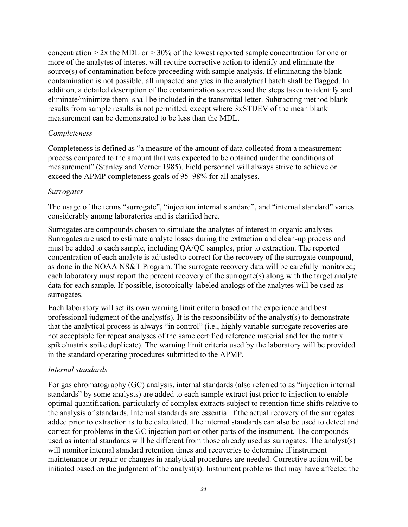concentration  $> 2x$  the MDL or  $> 30\%$  of the lowest reported sample concentration for one or more of the analytes of interest will require corrective action to identify and eliminate the source(s) of contamination before proceeding with sample analysis. If eliminating the blank contamination is not possible, all impacted analytes in the analytical batch shall be flagged. In addition, a detailed description of the contamination sources and the steps taken to identify and eliminate/minimize them shall be included in the transmittal letter. Subtracting method blank results from sample results is not permitted, except where 3xSTDEV of the mean blank measurement can be demonstrated to be less than the MDL.

#### *Completeness*

Completeness is defined as "a measure of the amount of data collected from a measurement process compared to the amount that was expected to be obtained under the conditions of measurement" (Stanley and Verner 1985). Field personnel will always strive to achieve or exceed the APMP completeness goals of 95–98% for all analyses.

#### *Surrogates*

The usage of the terms "surrogate", "injection internal standard", and "internal standard" varies considerably among laboratories and is clarified here.

Surrogates are compounds chosen to simulate the analytes of interest in organic analyses. Surrogates are used to estimate analyte losses during the extraction and clean-up process and must be added to each sample, including QA/QC samples, prior to extraction. The reported concentration of each analyte is adjusted to correct for the recovery of the surrogate compound, as done in the NOAA NS&T Program. The surrogate recovery data will be carefully monitored; each laboratory must report the percent recovery of the surrogate(s) along with the target analyte data for each sample*.* If possible, isotopically-labeled analogs of the analytes will be used as surrogates.

Each laboratory will set its own warning limit criteria based on the experience and best professional judgment of the analyst(s). It is the responsibility of the analyst(s) to demonstrate that the analytical process is always "in control" (i.e., highly variable surrogate recoveries are not acceptable for repeat analyses of the same certified reference material and for the matrix spike/matrix spike duplicate). The warning limit criteria used by the laboratory will be provided in the standard operating procedures submitted to the APMP.

#### *Internal standards*

For gas chromatography (GC) analysis, internal standards (also referred to as "injection internal standards" by some analysts) are added to each sample extract just prior to injection to enable optimal quantification, particularly of complex extracts subject to retention time shifts relative to the analysis of standards. Internal standards are essential if the actual recovery of the surrogates added prior to extraction is to be calculated. The internal standards can also be used to detect and correct for problems in the GC injection port or other parts of the instrument. The compounds used as internal standards will be different from those already used as surrogates. The analyst(s) will monitor internal standard retention times and recoveries to determine if instrument maintenance or repair or changes in analytical procedures are needed. Corrective action will be initiated based on the judgment of the analyst(s). Instrument problems that may have affected the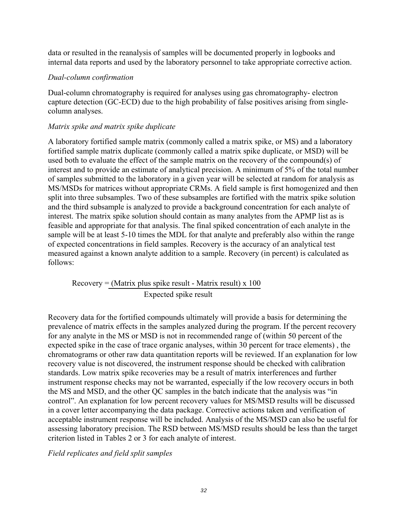data or resulted in the reanalysis of samples will be documented properly in logbooks and internal data reports and used by the laboratory personnel to take appropriate corrective action.

#### *Dual-column confirmation*

Dual-column chromatography is required for analyses using gas chromatography- electron capture detection (GC-ECD) due to the high probability of false positives arising from singlecolumn analyses.

#### *Matrix spike and matrix spike duplicate*

A laboratory fortified sample matrix (commonly called a matrix spike, or MS) and a laboratory fortified sample matrix duplicate (commonly called a matrix spike duplicate, or MSD) will be used both to evaluate the effect of the sample matrix on the recovery of the compound(s) of interest and to provide an estimate of analytical precision. A minimum of 5% of the total number of samples submitted to the laboratory in a given year will be selected at random for analysis as MS/MSDs for matrices without appropriate CRMs. A field sample is first homogenized and then split into three subsamples. Two of these subsamples are fortified with the matrix spike solution and the third subsample is analyzed to provide a background concentration for each analyte of interest. The matrix spike solution should contain as many analytes from the APMP list as is feasible and appropriate for that analysis. The final spiked concentration of each analyte in the sample will be at least 5-10 times the MDL for that analyte and preferably also within the range of expected concentrations in field samples. Recovery is the accuracy of an analytical test measured against a known analyte addition to a sample. Recovery (in percent) is calculated as follows:

 $Recovery = (Matrix plus spike result - Matrix result) \times 100$ Expected spike result

Recovery data for the fortified compounds ultimately will provide a basis for determining the prevalence of matrix effects in the samples analyzed during the program. If the percent recovery for any analyte in the MS or MSD is not in recommended range of (within 50 percent of the expected spike in the case of trace organic analyses, within 30 percent for trace elements) , the chromatograms or other raw data quantitation reports will be reviewed. If an explanation for low recovery value is not discovered, the instrument response should be checked with calibration standards. Low matrix spike recoveries may be a result of matrix interferences and further instrument response checks may not be warranted, especially if the low recovery occurs in both the MS and MSD, and the other QC samples in the batch indicate that the analysis was "in control". An explanation for low percent recovery values for MS/MSD results will be discussed in a cover letter accompanying the data package. Corrective actions taken and verification of acceptable instrument response will be included. Analysis of the MS/MSD can also be useful for assessing laboratory precision. The RSD between MS/MSD results should be less than the target criterion listed in Tables 2 or 3 for each analyte of interest.

#### *Field replicates and field split samples*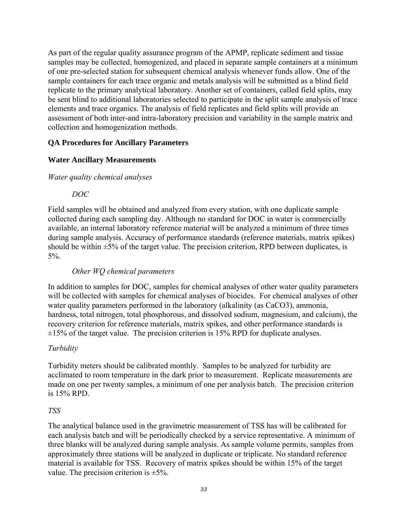As part of the regular quality assurance program of the APMP, replicate sediment and tissue samples may be collected, homogenized, and placed in separate sample containers at a minimum of one pre-selected station for subsequent chemical analysis whenever funds allow. One of the sample containers for each trace organic and metals analysis will be submitted as a blind field replicate to the primary analytical laboratory. Another set of containers, called field splits, may be sent blind to additional laboratories selected to participate in the split sample analysis of trace elements and trace organics. The analysis of field replicates and field splits will provide an assessment of both inter-and intra-laboratory precision and variability in the sample matrix and collection and homogenization methods.

#### **QA Procedures for Ancillary Parameters**

#### **Water Ancillary Measurements**

#### *Water quality chemical analyses*

#### *DOC*

Field samples will be obtained and analyzed from every station, with one duplicate sample collected during each sampling day. Although no standard for DOC in water is commercially available, an internal laboratory reference material will be analyzed a minimum of three times during sample analysis. Accuracy of performance standards (reference materials, matrix spikes) should be within  $\pm 5\%$  of the target value. The precision criterion, RPD between duplicates, is 5%.

#### *Other WQ chemical parameters*

In addition to samples for DOC, samples for chemical analyses of other water quality parameters will be collected with samples for chemical analyses of biocides. For chemical analyses of other water quality parameters performed in the laboratory (alkalinity (as CaCO3), ammonia, hardness, total nitrogen, total phosphorous, and dissolved sodium, magnesium, and calcium), the recovery criterion for reference materials, matrix spikes, and other performance standards is  $\pm 15\%$  of the target value. The precision criterion is 15% RPD for duplicate analyses.

#### *Turbidity*

Turbidity meters should be calibrated monthly. Samples to be analyzed for turbidity are acclimated to room temperature in the dark prior to measurement. Replicate measurements are made on one per twenty samples, a minimum of one per analysis batch. The precision criterion is 15% RPD.

#### *TSS*

The analytical balance used in the gravimetric measurement of TSS has will be calibrated for each analysis batch and will be periodically checked by a service representative. A minimum of three blanks will be analyzed during sample analysis. As sample volume permits, samples from approximately three stations will be analyzed in duplicate or triplicate. No standard reference material is available for TSS. Recovery of matrix spikes should be within 15% of the target value. The precision criterion is  $\pm$ 5%.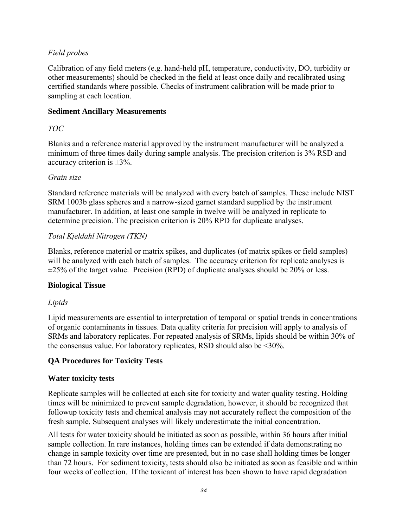#### *Field probes*

Calibration of any field meters (e.g. hand-held pH, temperature, conductivity, DO, turbidity or other measurements) should be checked in the field at least once daily and recalibrated using certified standards where possible. Checks of instrument calibration will be made prior to sampling at each location.

#### **Sediment Ancillary Measurements**

#### *TOC*

Blanks and a reference material approved by the instrument manufacturer will be analyzed a minimum of three times daily during sample analysis. The precision criterion is 3% RSD and accuracy criterion is  $\pm 3\%$ .

#### *Grain size*

Standard reference materials will be analyzed with every batch of samples. These include NIST SRM 1003b glass spheres and a narrow-sized garnet standard supplied by the instrument manufacturer. In addition, at least one sample in twelve will be analyzed in replicate to determine precision. The precision criterion is 20% RPD for duplicate analyses.

#### *Total Kjeldahl Nitrogen (TKN)*

Blanks, reference material or matrix spikes, and duplicates (of matrix spikes or field samples) will be analyzed with each batch of samples. The accuracy criterion for replicate analyses is  $\pm$ 25% of the target value. Precision (RPD) of duplicate analyses should be 20% or less.

#### **Biological Tissue**

#### *Lipids*

Lipid measurements are essential to interpretation of temporal or spatial trends in concentrations of organic contaminants in tissues. Data quality criteria for precision will apply to analysis of SRMs and laboratory replicates. For repeated analysis of SRMs, lipids should be within 30% of the consensus value. For laboratory replicates, RSD should also be <30%.

#### **QA Procedures for Toxicity Tests**

#### **Water toxicity tests**

Replicate samples will be collected at each site for toxicity and water quality testing. Holding times will be minimized to prevent sample degradation, however, it should be recognized that followup toxicity tests and chemical analysis may not accurately reflect the composition of the fresh sample. Subsequent analyses will likely underestimate the initial concentration.

All tests for water toxicity should be initiated as soon as possible, within 36 hours after initial sample collection. In rare instances, holding times can be extended if data demonstrating no change in sample toxicity over time are presented, but in no case shall holding times be longer than 72 hours. For sediment toxicity, tests should also be initiated as soon as feasible and within four weeks of collection. If the toxicant of interest has been shown to have rapid degradation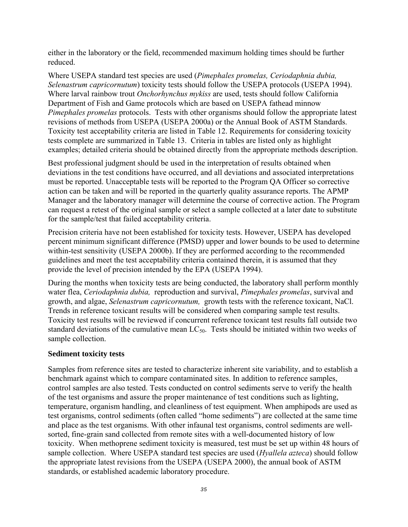either in the laboratory or the field, recommended maximum holding times should be further reduced.

Where USEPA standard test species are used (*Pimephales promelas, Ceriodaphnia dubia, Selenastrum capricornutum*) toxicity tests should follow the USEPA protocols (USEPA 1994). Where larval rainbow trout *Onchorhynchus mykiss* are used, tests should follow California Department of Fish and Game protocols which are based on USEPA fathead minnow *Pimephales promelas* protocols. Tests with other organisms should follow the appropriate latest revisions of methods from USEPA (USEPA 2000a) or the Annual Book of ASTM Standards. Toxicity test acceptability criteria are listed in Table 12. Requirements for considering toxicity tests complete are summarized in Table 13. Criteria in tables are listed only as highlight examples; detailed criteria should be obtained directly from the appropriate methods description.

Best professional judgment should be used in the interpretation of results obtained when deviations in the test conditions have occurred, and all deviations and associated interpretations must be reported. Unacceptable tests will be reported to the Program QA Officer so corrective action can be taken and will be reported in the quarterly quality assurance reports. The APMP Manager and the laboratory manager will determine the course of corrective action. The Program can request a retest of the original sample or select a sample collected at a later date to substitute for the sample/test that failed acceptability criteria.

Precision criteria have not been established for toxicity tests. However, USEPA has developed percent minimum significant difference (PMSD) upper and lower bounds to be used to determine within-test sensitivity (USEPA 2000b). If they are performed according to the recommended guidelines and meet the test acceptability criteria contained therein, it is assumed that they provide the level of precision intended by the EPA (USEPA 1994).

During the months when toxicity tests are being conducted, the laboratory shall perform monthly water flea, *Ceriodaphnia dubia,* reproduction and survival, *Pimephales promelas*, survival and growth, and algae, *Selenastrum capricornutum,* growth tests with the reference toxicant, NaCl. Trends in reference toxicant results will be considered when comparing sample test results. Toxicity test results will be reviewed if concurrent reference toxicant test results fall outside two standard deviations of the cumulative mean  $LC_{50}$ . Tests should be initiated within two weeks of sample collection.

#### **Sediment toxicity tests**

Samples from reference sites are tested to characterize inherent site variability, and to establish a benchmark against which to compare contaminated sites. In addition to reference samples, control samples are also tested. Tests conducted on control sediments serve to verify the health of the test organisms and assure the proper maintenance of test conditions such as lighting, temperature, organism handling, and cleanliness of test equipment. When amphipods are used as test organisms, control sediments (often called "home sediments") are collected at the same time and place as the test organisms. With other infaunal test organisms, control sediments are wellsorted, fine-grain sand collected from remote sites with a well-documented history of low toxicity. When methoprene sediment toxicity is measured, test must be set up within 48 hours of sample collection. Where USEPA standard test species are used (*Hyallela azteca*) should follow the appropriate latest revisions from the USEPA (USEPA 2000), the annual book of ASTM standards, or established academic laboratory procedure.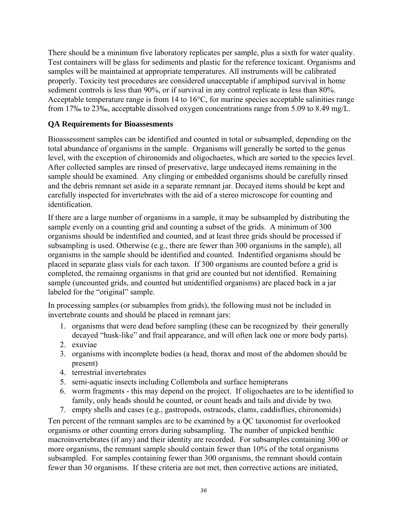There should be a minimum five laboratory replicates per sample, plus a sixth for water quality. Test containers will be glass for sediments and plastic for the reference toxicant. Organisms and samples will be maintained at appropriate temperatures. All instruments will be calibrated properly. Toxicity test procedures are considered unacceptable if amphipod survival in home sediment controls is less than 90%, or if survival in any control replicate is less than 80%. Acceptable temperature range is from 14 to 16°C, for marine species acceptable salinities range from 17‰ to 23‰, acceptable dissolved oxygen concentrations range from 5.09 to 8.49 mg/L.

#### **QA Requirements for Bioassesments**

Bioassessment samples can be identified and counted in total or subsampled, depending on the total abundance of organisms in the sample. Organisms will generally be sorted to the genus level, with the exception of chironomids and oligochaetes, which are sorted to the species level. After collected samples are rinsed of preservative, large undecayed items remaining in the sample should be examined. Any clinging or embedded organisms should be carefully rinsed and the debris remnant set aside in a separate remnant jar. Decayed items should be kept and carefully inspected for invertebrates with the aid of a stereo microscope for counting and identification.

If there are a large number of organisms in a sample, it may be subsampled by distributing the sample evenly on a counting grid and counting a subset of the grids. A minimum of 300 organisms should be indentified and counted, and at least three grids should be processed if subsampling is used. Otherwise (e.g., there are fewer than 300 organisms in the sample), all organisms in the sample should be identified and counted. Indentified organisms should be placed in separate glass vials for each taxon. If 300 organisms are counted before a grid is completed, the remainng organisms in that grid are counted but not identified. Remaining sample (uncounted grids, and counted but unidentified organisms) are placed back in a jar labeled for the "original" sample.

In processing samples (or subsamples from grids), the following must not be included in invertebrate counts and should be placed in remnant jars:

- 1. organisms that were dead before sampling (these can be recognized by their generally decayed "husk-like" and frail appearance, and will often lack one or more body parts).
- 2. exuviae
- 3. organisms with incomplete bodies (a head, thorax and most of the abdomen should be present)
- 4. terrestrial invertebrates
- 5. semi-aquatic insects including Collembola and surface hemipterans
- 6. worm fragments this may depend on the project. If oligochaetes are to be identified to family, only heads should be counted, or count heads and tails and divide by two.
- 7. empty shells and cases (e.g., gastropods, ostracods, clams, caddisflies, chironomids)

Ten percent of the remnant samples are to be examined by a QC taxonomist for overlooked organisms or other counting errors during subsampling. The number of unpicked benthic macroinvertebrates (if any) and their identity are recorded. For subsamples containing 300 or more organisms, the remnant sample should contain fewer than 10% of the total organisms subsampled. For samples containing fewer than 300 organisms, the remnant should contain fewer than 30 organisms. If these criteria are not met, then corrective actions are initiated,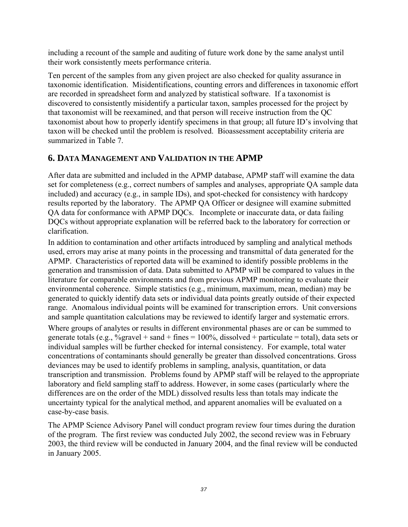including a recount of the sample and auditing of future work done by the same analyst until their work consistently meets performance criteria.

Ten percent of the samples from any given project are also checked for quality assurance in taxonomic identification. Misidentifications, counting errors and differences in taxonomic effort are recorded in spreadsheet form and analyzed by statistical software. If a taxonomist is discovered to consistently misidentify a particular taxon, samples processed for the project by that taxonomist will be reexamined, and that person will receive instruction from the QC taxonomist about how to properly identify specimens in that group; all future ID's involving that taxon will be checked until the problem is resolved. Bioassessment acceptability criteria are summarized in Table 7

# **6. DATA MANAGEMENT AND VALIDATION IN THE APMP**

After data are submitted and included in the APMP database, APMP staff will examine the data set for completeness (e.g., correct numbers of samples and analyses, appropriate QA sample data included) and accuracy (e.g., in sample IDs), and spot-checked for consistency with hardcopy results reported by the laboratory. The APMP QA Officer or designee will examine submitted QA data for conformance with APMP DQCs. Incomplete or inaccurate data, or data failing DQCs without appropriate explanation will be referred back to the laboratory for correction or clarification.

In addition to contamination and other artifacts introduced by sampling and analytical methods used, errors may arise at many points in the processing and transmittal of data generated for the APMP. Characteristics of reported data will be examined to identify possible problems in the generation and transmission of data. Data submitted to APMP will be compared to values in the literature for comparable environments and from previous APMP monitoring to evaluate their environmental coherence. Simple statistics (e.g., minimum, maximum, mean, median) may be generated to quickly identify data sets or individual data points greatly outside of their expected range. Anomalous individual points will be examined for transcription errors. Unit conversions and sample quantitation calculations may be reviewed to identify larger and systematic errors.

Where groups of analytes or results in different environmental phases are or can be summed to generate totals (e.g.,  $\%$ gravel + sand + fines = 100%, dissolved + particulate = total), data sets or individual samples will be further checked for internal consistency. For example, total water concentrations of contaminants should generally be greater than dissolved concentrations. Gross deviances may be used to identify problems in sampling, analysis, quantitation, or data transcription and transmission. Problems found by APMP staff will be relayed to the appropriate laboratory and field sampling staff to address. However, in some cases (particularly where the differences are on the order of the MDL) dissolved results less than totals may indicate the uncertainty typical for the analytical method, and apparent anomalies will be evaluated on a case-by-case basis.

The APMP Science Advisory Panel will conduct program review four times during the duration of the program. The first review was conducted July 2002, the second review was in February 2003, the third review will be conducted in January 2004, and the final review will be conducted in January 2005.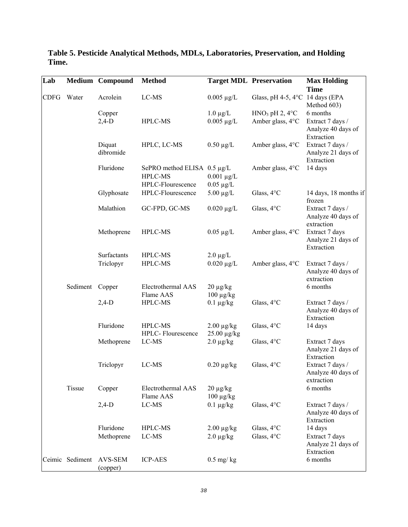| Lab         |                 | <b>Medium</b> Compound | <b>Method</b>               |                                     | <b>Target MDL Preservation</b>  | <b>Max Holding</b>                     |
|-------------|-----------------|------------------------|-----------------------------|-------------------------------------|---------------------------------|----------------------------------------|
|             | Water           |                        | $_{\rm LC-MS}$              |                                     |                                 | <b>Time</b>                            |
| <b>CDFG</b> |                 | Acrolein               |                             | $0.005 \mu g/L$                     | Glass, pH 4-5, 4°C 14 days (EPA | Method 603)                            |
|             |                 | Copper                 |                             | $1.0 \mu g/L$                       | $HNO3$ pH 2, 4°C                | 6 months                               |
|             |                 | $2,4-D$                | HPLC-MS                     | $0.005 \mu g/L$                     | Amber glass, 4°C                | Extract 7 days /                       |
|             |                 |                        |                             |                                     |                                 | Analyze 40 days of                     |
|             |                 |                        |                             |                                     |                                 | Extraction                             |
|             |                 | Diquat<br>dibromide    | HPLC, LC-MS                 | $0.50 \mu g/L$                      | Amber glass, 4°C                | Extract 7 days /<br>Analyze 21 days of |
|             |                 |                        |                             |                                     |                                 | Extraction                             |
|             |                 | Fluridone              | SePRO method ELISA 0.5 μg/L |                                     | Amber glass, 4°C                | 14 days                                |
|             |                 |                        | HPLC-MS                     | $0.001 \mu g/L$                     |                                 |                                        |
|             |                 |                        | HPLC-Flourescence           | $0.05 \mu g/L$                      |                                 |                                        |
|             |                 | Glyphosate             | HPLC-Flourescence           | $5.00 \mu g/L$                      | Glass, 4°C                      | 14 days, 18 months if<br>frozen        |
|             |                 | Malathion              | GC-FPD, GC-MS               | $0.020 \mu g/L$                     | Glass, 4°C                      | Extract 7 days /<br>Analyze 40 days of |
|             |                 |                        |                             |                                     |                                 | extraction                             |
|             |                 | Methoprene             | HPLC-MS                     | $0.05 \mu g/L$                      | Amber glass, 4°C                | Extract 7 days                         |
|             |                 |                        |                             |                                     |                                 | Analyze 21 days of                     |
|             |                 |                        |                             |                                     |                                 | Extraction                             |
|             |                 | Surfactants            | HPLC-MS                     | $2.0 \mu g/L$                       |                                 |                                        |
|             |                 | Triclopyr              | HPLC-MS                     | $0.020 \mu g/L$                     | Amber glass, 4°C                | Extract 7 days /<br>Analyze 40 days of |
|             |                 |                        |                             |                                     |                                 | extraction                             |
|             | Sediment        | Copper                 | Electrothermal AAS          | $20 \mu g/kg$                       |                                 | 6 months                               |
|             |                 |                        | Flame AAS                   | $100 \mu g/kg$                      |                                 |                                        |
|             |                 | $2,4-D$                | HPLC-MS                     | $0.1 \mu g/kg$                      | Glass, 4°C                      | Extract 7 days /                       |
|             |                 |                        |                             |                                     |                                 | Analyze 40 days of                     |
|             |                 | Fluridone              | HPLC-MS                     |                                     |                                 | Extraction                             |
|             |                 |                        | HPLC- Flourescence          | $2.00 \mu g/kg$<br>$25.00 \mu g/kg$ | Glass, 4°C                      | 14 days                                |
|             |                 | Methoprene             | LC-MS                       | $2.0 \mu g/kg$                      | Glass, 4°C                      | Extract 7 days                         |
|             |                 |                        |                             |                                     |                                 | Analyze 21 days of                     |
|             |                 |                        |                             |                                     |                                 | Extraction                             |
|             |                 | Triclopyr              | LC-MS                       | $0.20 \mu g/kg$                     | Glass, 4°C                      | Extract 7 days /                       |
|             |                 |                        |                             |                                     |                                 | Analyze 40 days of<br>extraction       |
|             | Tissue          | Copper                 | Electrothermal AAS          | $20 \mu g/kg$                       |                                 | 6 months                               |
|             |                 |                        | Flame AAS                   | $100 \mu g/kg$                      |                                 |                                        |
|             |                 | $2,4-D$                | LC-MS                       | $0.1 \mu g/kg$                      | Glass, 4°C                      | Extract 7 days /                       |
|             |                 |                        |                             |                                     |                                 | Analyze 40 days of                     |
|             |                 |                        |                             |                                     |                                 | Extraction                             |
|             |                 | Fluridone              | HPLC-MS                     | $2.00 \mu g/kg$                     | Glass, 4°C                      | 14 days                                |
|             |                 | Methoprene             | LC-MS                       | $2.0 \mu g/kg$                      | Glass, 4°C                      | Extract 7 days                         |
|             |                 |                        |                             |                                     |                                 | Analyze 21 days of<br>Extraction       |
|             | Ceimic Sediment | AVS-SEM                | <b>ICP-AES</b>              | $0.5$ mg/kg                         |                                 | 6 months                               |
|             |                 | (copper)               |                             |                                     |                                 |                                        |

**Table 5. Pesticide Analytical Methods, MDLs, Laboratories, Preservation, and Holding Time.**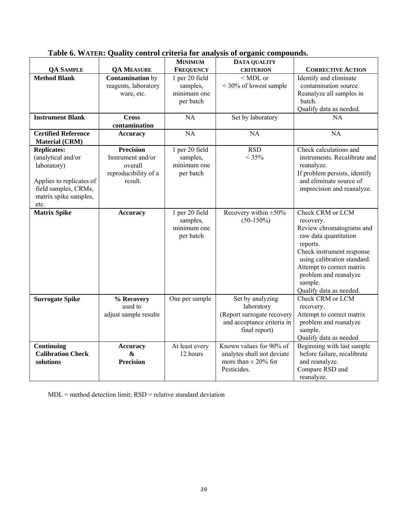|                            |                                      | <b>MINIMUM</b>   | <b>DATA QUALITY</b>        |                               |
|----------------------------|--------------------------------------|------------------|----------------------------|-------------------------------|
| <b>QA SAMPLE</b>           | <b>QA MEASURE</b>                    | <b>FREQUENCY</b> | <b>CRITERION</b>           | <b>CORRECTIVE ACTION</b>      |
| <b>Method Blank</b>        | <b>Contamination</b> by              | 1 per 20 field   | $<$ MDL or                 | Identify and eliminate        |
|                            | reagents, laboratory                 | samples,         | < 30% of lowest sample     | contamination source.         |
|                            | ware, etc.                           | minimum one      |                            | Reanalyze all samples in      |
|                            |                                      | per batch        |                            | batch.                        |
|                            |                                      |                  |                            | Qualify data as needed.       |
| <b>Instrument Blank</b>    | <b>Cross</b>                         | <b>NA</b>        | Set by laboratory          | <b>NA</b>                     |
|                            | contamination                        |                  |                            |                               |
| <b>Certified Reference</b> | <b>Accuracy</b>                      | NA               | NA                         | <b>NA</b>                     |
| <b>Material (CRM)</b>      |                                      |                  |                            |                               |
| <b>Replicates:</b>         | <b>Precision</b>                     | 1 per 20 field   | <b>RSD</b>                 | Check calculations and        |
| (analytical and/or         | Instrument and/or                    | samples,         | $< 35\%$                   | instruments. Recalibrate and  |
| laboratory)                | overall                              | minimum one      |                            | reanalyze.                    |
|                            | reproducibility of a                 | per batch        |                            | If problem persists, identify |
| Applies to replicates of   | result.                              |                  |                            | and eliminate source of       |
| field samples, CRMs,       |                                      |                  |                            | imprecision and reanalyze.    |
| matrix spike samples,      |                                      |                  |                            |                               |
| etc.                       |                                      |                  |                            |                               |
| <b>Matrix Spike</b>        | <b>Accuracy</b>                      | 1 per 20 field   | Recovery within $\pm 50\%$ | Check CRM or LCM              |
|                            |                                      | samples,         | $(50-150\%)$               | recovery.                     |
|                            |                                      | minimum one      |                            | Review chromatograms and      |
|                            |                                      | per batch        |                            | raw data quantitation         |
|                            |                                      |                  |                            | reports.                      |
|                            |                                      |                  |                            | Check instrument response     |
|                            |                                      |                  |                            | using calibration standard.   |
|                            |                                      |                  |                            | Attempt to correct matrix     |
|                            |                                      |                  |                            | problem and reanalyze         |
|                            |                                      |                  |                            | sample.                       |
|                            |                                      |                  |                            | Qualify data as needed.       |
| <b>Surrogate Spike</b>     | % Recovery                           | One per sample   | Set by analyzing           | Check CRM or LCM              |
|                            | used to                              |                  | laboratory                 | recovery.                     |
|                            | adjust sample results                |                  | (Report surrogate recovery | Attempt to correct matrix     |
|                            |                                      |                  | and acceptance criteria in | problem and reanalyze         |
|                            |                                      |                  | final report)              | sample.                       |
|                            |                                      |                  |                            | Qualify data as needed        |
| Continuing                 |                                      | At least every   | Known values for 90% of    | Beginning with last sample    |
| <b>Calibration Check</b>   | <b>Accuracy</b><br>$\boldsymbol{\&}$ | 12 hours         | analytes shall not deviate | before failure, recalibrate   |
|                            | <b>Precision</b>                     |                  | more than $\pm$ 20% for    |                               |
| solutions                  |                                      |                  |                            | and reanalyze.                |
|                            |                                      |                  | Pesticides.                | Compare RSD and               |
|                            |                                      |                  |                            | reanalyze.                    |

## **Table 6. WATER: Quality control criteria for analysis of organic compounds.**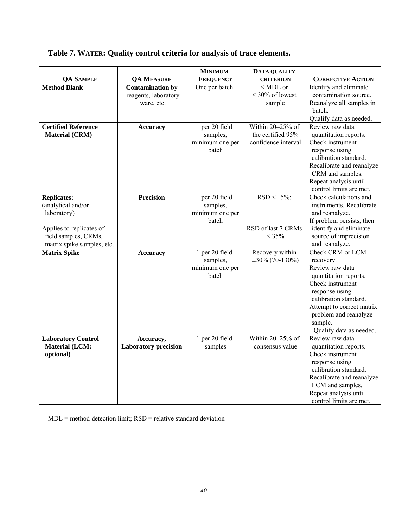# **Table 7. WATER: Quality control criteria for analysis of trace elements.**

|                                                                                                                                           |                                                               | <b>MINIMUM</b>                                         | DATA QUALITY                                                 |                                                                                                                                                                                                                                      |
|-------------------------------------------------------------------------------------------------------------------------------------------|---------------------------------------------------------------|--------------------------------------------------------|--------------------------------------------------------------|--------------------------------------------------------------------------------------------------------------------------------------------------------------------------------------------------------------------------------------|
| <b>QA SAMPLE</b>                                                                                                                          | <b>QA MEASURE</b>                                             | <b>FREQUENCY</b>                                       | <b>CRITERION</b>                                             | <b>CORRECTIVE ACTION</b>                                                                                                                                                                                                             |
| <b>Method Blank</b>                                                                                                                       | <b>Contamination</b> by<br>reagents, laboratory<br>ware, etc. | One per batch                                          | $<$ MDL or<br>$<$ 30% of lowest<br>sample                    | Identify and eliminate<br>contamination source.<br>Reanalyze all samples in<br>batch.<br>Qualify data as needed.                                                                                                                     |
| <b>Certified Reference</b><br><b>Material (CRM)</b>                                                                                       | <b>Accuracy</b>                                               | 1 per 20 field<br>samples,<br>minimum one per<br>batch | Within 20-25% of<br>the certified 95%<br>confidence interval | Review raw data<br>quantitation reports.<br>Check instrument<br>response using<br>calibration standard.<br>Recalibrate and reanalyze<br>CRM and samples.<br>Repeat analysis until<br>control limits are met.                         |
| <b>Replicates:</b><br>(analytical and/or<br>laboratory)<br>Applies to replicates of<br>field samples, CRMs,<br>matrix spike samples, etc. | <b>Precision</b>                                              | 1 per 20 field<br>samples,<br>minimum one per<br>batch | $RSD < 15\%;$<br>RSD of last 7 CRMs<br>$< 35\%$              | Check calculations and<br>instruments. Recalibrate<br>and reanalyze.<br>If problem persists, then<br>identify and eliminate<br>source of imprecision<br>and reanalyze.                                                               |
| <b>Matrix Spike</b>                                                                                                                       | <b>Accuracy</b>                                               | 1 per 20 field<br>samples,<br>minimum one per<br>batch | Recovery within<br>$\pm 30\%$ (70-130%)                      | Check CRM or LCM<br>recovery.<br>Review raw data<br>quantitation reports.<br>Check instrument<br>response using<br>calibration standard.<br>Attempt to correct matrix<br>problem and reanalyze<br>sample.<br>Qualify data as needed. |
| <b>Laboratory Control</b><br>Material (LCM;<br>optional)                                                                                  | Accuracy,<br><b>Laboratory precision</b>                      | 1 per 20 field<br>samples                              | Within 20-25% of<br>consensus value                          | Review raw data<br>quantitation reports.<br>Check instrument<br>response using<br>calibration standard.<br>Recalibrate and reanalyze<br>LCM and samples.<br>Repeat analysis until<br>control limits are met.                         |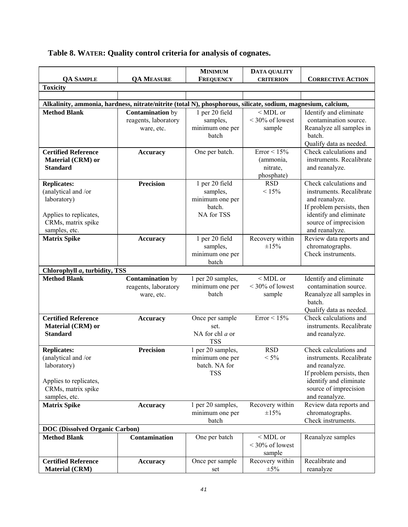# **Table 8. WATER: Quality control criteria for analysis of cognates.**

|                                                                                                                           |                                                                                                              | <b>MINIMUM</b>                                                        | DATA QUALITY                                          |                                                                                                                                                                        |
|---------------------------------------------------------------------------------------------------------------------------|--------------------------------------------------------------------------------------------------------------|-----------------------------------------------------------------------|-------------------------------------------------------|------------------------------------------------------------------------------------------------------------------------------------------------------------------------|
| <b>QA SAMPLE</b>                                                                                                          | <b>QA MEASURE</b>                                                                                            | <b>FREQUENCY</b>                                                      | <b>CRITERION</b>                                      | <b>CORRECTIVE ACTION</b>                                                                                                                                               |
| <b>Toxicity</b>                                                                                                           |                                                                                                              |                                                                       |                                                       |                                                                                                                                                                        |
|                                                                                                                           |                                                                                                              |                                                                       |                                                       |                                                                                                                                                                        |
|                                                                                                                           | Alkalinity, ammonia, hardness, nitrate/nitrite (total N), phosphorous, silicate, sodium, magnesium, calcium, |                                                                       |                                                       |                                                                                                                                                                        |
| <b>Method Blank</b>                                                                                                       | <b>Contamination</b> by<br>reagents, laboratory<br>ware, etc.                                                | 1 per 20 field<br>samples,<br>minimum one per<br>batch                | $<$ MDL or<br>$<$ 30% of lowest<br>sample             | Identify and eliminate<br>contamination source.<br>Reanalyze all samples in<br>batch.<br>Qualify data as needed.                                                       |
| <b>Certified Reference</b><br>Material (CRM) or<br><b>Standard</b>                                                        | <b>Accuracy</b>                                                                                              | One per batch.                                                        | Error $< 15\%$<br>(ammonia,<br>nitrate,<br>phosphate) | Check calculations and<br>instruments. Recalibrate<br>and reanalyze.                                                                                                   |
| <b>Replicates:</b><br>(analytical and /or<br>laboratory)<br>Applies to replicates,<br>CRMs, matrix spike<br>samples, etc. | <b>Precision</b>                                                                                             | 1 per 20 field<br>samples,<br>minimum one per<br>batch.<br>NA for TSS | <b>RSD</b><br>$< 15\%$                                | Check calculations and<br>instruments. Recalibrate<br>and reanalyze.<br>If problem persists, then<br>identify and eliminate<br>source of imprecision<br>and reanalyze. |
| <b>Matrix Spike</b>                                                                                                       | <b>Accuracy</b>                                                                                              | 1 per 20 field<br>samples,<br>minimum one per<br>batch                | Recovery within<br>±15%                               | Review data reports and<br>chromatographs.<br>Check instruments.                                                                                                       |
| Chlorophyll a, turbidity, TSS                                                                                             |                                                                                                              |                                                                       |                                                       |                                                                                                                                                                        |
| <b>Method Blank</b>                                                                                                       | <b>Contamination</b> by<br>reagents, laboratory<br>ware, etc.                                                | 1 per 20 samples,<br>minimum one per<br>batch                         | $<$ MDL or<br>$<$ 30% of lowest<br>sample             | Identify and eliminate<br>contamination source.<br>Reanalyze all samples in<br>batch.<br>Qualify data as needed.                                                       |
| <b>Certified Reference</b><br>Material (CRM) or<br><b>Standard</b>                                                        | <b>Accuracy</b>                                                                                              | Once per sample<br>set.<br>NA for chl $a$ or<br><b>TSS</b>            | Error < 15%                                           | Check calculations and<br>instruments. Recalibrate<br>and reanalyze.                                                                                                   |
| <b>Replicates:</b><br>(analytical and /or<br>laboratory)<br>Applies to replicates,                                        | <b>Precision</b>                                                                                             | 1 per 20 samples,<br>minimum one per<br>batch. NA for<br><b>TSS</b>   | <b>RSD</b><br>$< 5\%$                                 | Check calculations and<br>instruments. Recalibrate<br>and reanalyze.<br>If problem persists, then<br>identify and eliminate                                            |
| CRMs, matrix spike<br>samples, etc.                                                                                       |                                                                                                              |                                                                       |                                                       | source of imprecision<br>and reanalyze.                                                                                                                                |
| <b>Matrix Spike</b>                                                                                                       | <b>Accuracy</b>                                                                                              | 1 per 20 samples,<br>minimum one per<br>batch                         | Recovery within<br>±15%                               | Review data reports and<br>chromatographs.<br>Check instruments.                                                                                                       |
| <b>DOC</b> (Dissolved Organic Carbon)                                                                                     |                                                                                                              |                                                                       |                                                       |                                                                                                                                                                        |
| <b>Method Blank</b>                                                                                                       | <b>Contamination</b>                                                                                         | One per batch                                                         | $<$ MDL or<br>$<$ 30% of lowest<br>sample             | Reanalyze samples                                                                                                                                                      |
| <b>Certified Reference</b><br><b>Material (CRM)</b>                                                                       | <b>Accuracy</b>                                                                                              | Once per sample<br>set                                                | Recovery within<br>$\pm 5\%$                          | Recalibrate and<br>reanalyze                                                                                                                                           |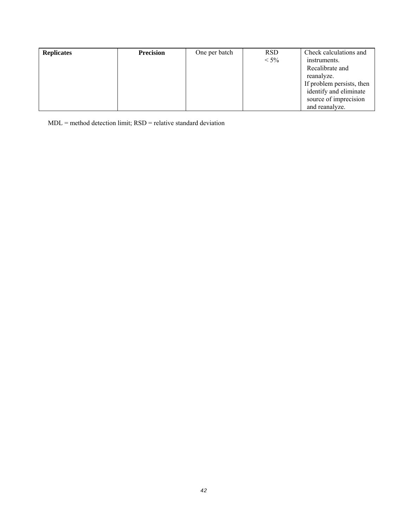| <b>Replicates</b> | <b>Precision</b> | One per batch | <b>RSD</b> | Check calculations and    |
|-------------------|------------------|---------------|------------|---------------------------|
|                   |                  |               | $< 5\%$    | instruments.              |
|                   |                  |               |            | Recalibrate and           |
|                   |                  |               |            | reanalyze.                |
|                   |                  |               |            | If problem persists, then |
|                   |                  |               |            | identify and eliminate    |
|                   |                  |               |            | source of imprecision     |
|                   |                  |               |            | and reanalyze.            |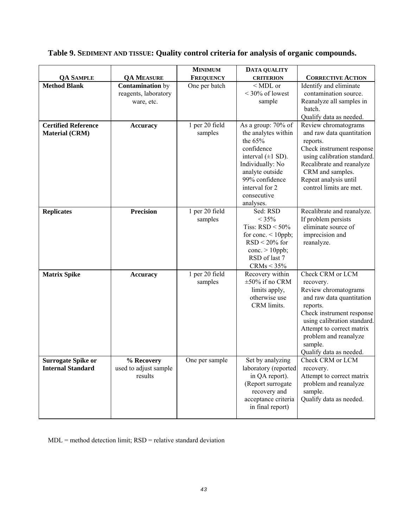# **Table 9. SEDIMENT AND TISSUE: Quality control criteria for analysis of organic compounds.**

|                                                       |                                                               | <b>MINIMUM</b>            | <b>DATA QUALITY</b>                                                                                                                                                                                   |                                                                                                                                                                                                                                                        |
|-------------------------------------------------------|---------------------------------------------------------------|---------------------------|-------------------------------------------------------------------------------------------------------------------------------------------------------------------------------------------------------|--------------------------------------------------------------------------------------------------------------------------------------------------------------------------------------------------------------------------------------------------------|
| <b>QA SAMPLE</b>                                      | <b>QA MEASURE</b>                                             | <b>FREQUENCY</b>          | <b>CRITERION</b>                                                                                                                                                                                      | <b>CORRECTIVE ACTION</b>                                                                                                                                                                                                                               |
| <b>Method Blank</b>                                   | <b>Contamination</b> by<br>reagents, laboratory<br>ware, etc. | One per batch             | $<$ MDL or<br>$<$ 30% of lowest<br>sample                                                                                                                                                             | Identify and eliminate<br>contamination source.<br>Reanalyze all samples in<br>batch.<br>Qualify data as needed.                                                                                                                                       |
| <b>Certified Reference</b><br><b>Material (CRM)</b>   | <b>Accuracy</b>                                               | 1 per 20 field<br>samples | As a group: 70% of<br>the analytes within<br>the $65%$<br>confidence<br>interval $(\pm 1$ SD).<br>Individually: No<br>analyte outside<br>99% confidence<br>interval for 2<br>consecutive<br>analyses. | Review chromatograms<br>and raw data quantitation<br>reports.<br>Check instrument response<br>using calibration standard.<br>Recalibrate and reanalyze<br>CRM and samples.<br>Repeat analysis until<br>control limits are met.                         |
| <b>Replicates</b>                                     | <b>Precision</b>                                              | 1 per 20 field<br>samples | Sed: RSD<br>$< 35\%$<br>Tiss: $RSD < 50\%$<br>for conc. $\leq 10$ ppb;<br>$RSD < 20\%$ for<br>conc. $> 10$ ppb;<br>RSD of last 7<br>CRMs < 35%                                                        | Recalibrate and reanalyze.<br>If problem persists<br>eliminate source of<br>imprecision and<br>reanalyze.                                                                                                                                              |
| <b>Matrix Spike</b>                                   | <b>Accuracy</b>                                               | 1 per 20 field<br>samples | Recovery within<br>$\pm 50\%$ if no CRM<br>limits apply,<br>otherwise use<br>CRM limits.                                                                                                              | Check CRM or LCM<br>recovery.<br>Review chromatograms<br>and raw data quantitation<br>reports.<br>Check instrument response<br>using calibration standard.<br>Attempt to correct matrix<br>problem and reanalyze<br>sample.<br>Qualify data as needed. |
| <b>Surrogate Spike or</b><br><b>Internal Standard</b> | % Recovery<br>used to adjust sample<br>results                | One per sample            | Set by analyzing<br>laboratory (reported<br>in QA report).<br>(Report surrogate<br>recovery and<br>acceptance criteria<br>in final report)                                                            | Check CRM or LCM<br>recovery.<br>Attempt to correct matrix<br>problem and reanalyze<br>sample.<br>Qualify data as needed.                                                                                                                              |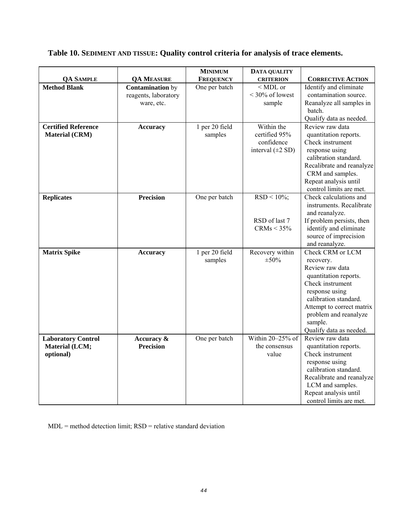# **Table 10. SEDIMENT AND TISSUE: Quality control criteria for analysis of trace elements.**

|                            |                                | <b>MINIMUM</b>   | <b>DATA QUALITY</b>    |                                                   |
|----------------------------|--------------------------------|------------------|------------------------|---------------------------------------------------|
| <b>QA SAMPLE</b>           | <b>QA MEASURE</b>              | <b>FREQUENCY</b> | <b>CRITERION</b>       | <b>CORRECTIVE ACTION</b>                          |
| <b>Method Blank</b>        | <b>Contamination</b> by        | One per batch    | $<$ MDL or             | Identify and eliminate                            |
|                            | reagents, laboratory           |                  | $<$ 30% of lowest      | contamination source.                             |
|                            | ware, etc.                     |                  | sample                 | Reanalyze all samples in                          |
|                            |                                |                  |                        | batch.                                            |
|                            |                                |                  |                        | Qualify data as needed.                           |
| <b>Certified Reference</b> | <b>Accuracy</b>                | 1 per 20 field   | Within the             | Review raw data                                   |
| <b>Material (CRM)</b>      |                                | samples          | certified 95%          | quantitation reports.                             |
|                            |                                |                  | confidence             | Check instrument                                  |
|                            |                                |                  | interval $(\pm 2 SD)$  | response using                                    |
|                            |                                |                  |                        | calibration standard.                             |
|                            |                                |                  |                        | Recalibrate and reanalyze                         |
|                            |                                |                  |                        | CRM and samples.                                  |
|                            |                                |                  |                        | Repeat analysis until                             |
|                            | <b>Precision</b>               |                  |                        | control limits are met.<br>Check calculations and |
| <b>Replicates</b>          |                                | One per batch    | $RSD < 10\%;$          | instruments. Recalibrate                          |
|                            |                                |                  |                        | and reanalyze.                                    |
|                            |                                |                  | RSD of last 7          | If problem persists, then                         |
|                            |                                |                  | CRMs < 35%             | identify and eliminate                            |
|                            |                                |                  |                        | source of imprecision                             |
|                            |                                |                  |                        | and reanalyze.                                    |
| <b>Matrix Spike</b>        | <b>Accuracy</b>                | 1 per 20 field   | Recovery within        | Check CRM or LCM                                  |
|                            |                                | samples          | $\pm 50\%$             | recovery.                                         |
|                            |                                |                  |                        | Review raw data                                   |
|                            |                                |                  |                        | quantitation reports.                             |
|                            |                                |                  |                        | Check instrument                                  |
|                            |                                |                  |                        | response using                                    |
|                            |                                |                  |                        | calibration standard.                             |
|                            |                                |                  |                        | Attempt to correct matrix                         |
|                            |                                |                  |                        | problem and reanalyze                             |
|                            |                                |                  |                        | sample.                                           |
|                            |                                |                  |                        | Qualify data as needed.<br>Review raw data        |
| <b>Laboratory Control</b>  | Accuracy &<br><b>Precision</b> | One per batch    | Within 20-25% of       |                                                   |
| <b>Material (LCM;</b>      |                                |                  | the consensus<br>value | quantitation reports.                             |
| optional)                  |                                |                  |                        | Check instrument<br>response using                |
|                            |                                |                  |                        | calibration standard.                             |
|                            |                                |                  |                        | Recalibrate and reanalyze                         |
|                            |                                |                  |                        | LCM and samples.                                  |
|                            |                                |                  |                        | Repeat analysis until                             |
|                            |                                |                  |                        | control limits are met.                           |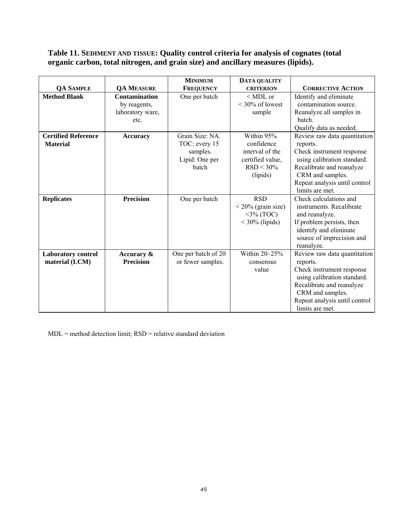### **Table 11. SEDIMENT AND TISSUE: Quality control criteria for analysis of cognates (total organic carbon, total nitrogen, and grain size) and ancillary measures (lipids).**

|                            |                      | <b>MINIMUM</b>      | DATA QUALITY          |                               |
|----------------------------|----------------------|---------------------|-----------------------|-------------------------------|
| <b>QA SAMPLE</b>           | <b>QA MEASURE</b>    | <b>FREQUENCY</b>    | <b>CRITERION</b>      | <b>CORRECTIVE ACTION</b>      |
| <b>Method Blank</b>        | <b>Contamination</b> | One per batch       | $<$ MDL or            | Identify and eliminate        |
|                            | by reagents,         |                     | $\leq$ 30% of lowest  | contamination source.         |
|                            | laboratory ware,     |                     | sample                | Reanalyze all samples in      |
|                            | etc.                 |                     |                       | batch.                        |
|                            |                      |                     |                       | Qualify data as needed.       |
| <b>Certified Reference</b> | <b>Accuracy</b>      | Grain Size: NA.     | Within 95%            | Review raw data quantitation  |
| <b>Material</b>            |                      | TOC: every 15       | confidence            | reports.                      |
|                            |                      | samples.            | interval of the       | Check instrument response     |
|                            |                      | Lipid: One per      | certified value,      | using calibration standard.   |
|                            |                      | batch               | $RSD < 30\%$          | Recalibrate and reanalyze     |
|                            |                      |                     | (lipids)              | CRM and samples.              |
|                            |                      |                     |                       | Repeat analysis until control |
|                            |                      |                     |                       | limits are met.               |
| <b>Replicates</b>          | <b>Precision</b>     | One per batch       | <b>RSD</b>            | Check calculations and        |
|                            |                      |                     | $< 20\%$ (grain size) | instruments. Recalibrate      |
|                            |                      |                     | $3\%$ (TOC)           | and reanalyze.                |
|                            |                      |                     | $<$ 30% (lipids)      | If problem persists, then     |
|                            |                      |                     |                       | identify and eliminate        |
|                            |                      |                     |                       | source of imprecision and     |
|                            |                      |                     |                       | reanalyze.                    |
| <b>Laboratory control</b>  | Accuracy &           | One per batch of 20 | Within 20-25%         | Review raw data quantitation  |
| material (LCM)             | <b>Precision</b>     | or fewer samples.   | consensus             | reports.                      |
|                            |                      |                     | value                 | Check instrument response     |
|                            |                      |                     |                       | using calibration standard.   |
|                            |                      |                     |                       | Recalibrate and reanalyze     |
|                            |                      |                     |                       | CRM and samples.              |
|                            |                      |                     |                       | Repeat analysis until control |
|                            |                      |                     |                       | limits are met.               |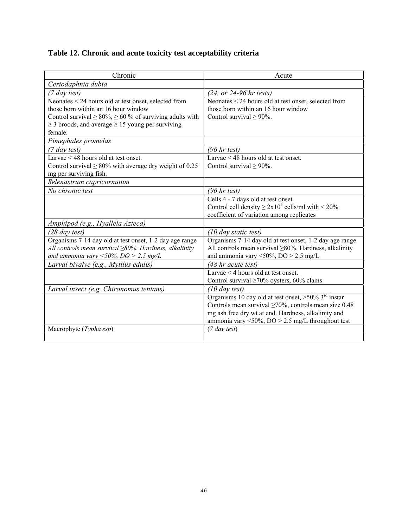| Table 12. Chronic and acute toxicity test acceptability criteria |  |  |  |
|------------------------------------------------------------------|--|--|--|
|                                                                  |  |  |  |

| Chronic                                                                                                                                                                                                                                     | Acute                                                                                                                                                                                                                                           |
|---------------------------------------------------------------------------------------------------------------------------------------------------------------------------------------------------------------------------------------------|-------------------------------------------------------------------------------------------------------------------------------------------------------------------------------------------------------------------------------------------------|
| Ceriodaphnia dubia                                                                                                                                                                                                                          |                                                                                                                                                                                                                                                 |
| $(7 \, \text{day test})$                                                                                                                                                                                                                    | $(24, or 24-96 hr tests)$                                                                                                                                                                                                                       |
| Neonates < 24 hours old at test onset, selected from<br>those born within an 16 hour window<br>Control survival $\geq 80\%$ , $\geq 60\%$ of surviving adults with<br>$\geq$ 3 broods, and average $\geq$ 15 young per surviving<br>female. | Neonates < 24 hours old at test onset, selected from<br>those born within an 16 hour window<br>Control survival $\geq 90\%$ .                                                                                                                   |
| Pimephales promelas                                                                                                                                                                                                                         |                                                                                                                                                                                                                                                 |
| $(7 \, \text{day test})$                                                                                                                                                                                                                    | (96 hr test)                                                                                                                                                                                                                                    |
| Larvae $\leq$ 48 hours old at test onset.<br>Control survival $\geq 80\%$ with average dry weight of 0.25<br>mg per surviving fish.                                                                                                         | Larvae $\leq$ 48 hours old at test onset.<br>Control survival $\geq 90\%$ .                                                                                                                                                                     |
| Selenastrum capricornutum                                                                                                                                                                                                                   |                                                                                                                                                                                                                                                 |
| No chronic test                                                                                                                                                                                                                             | (96 hr test)                                                                                                                                                                                                                                    |
|                                                                                                                                                                                                                                             | Cells 4 - 7 days old at test onset.<br>Control cell density $\geq 2x10^5$ cells/ml with < 20%<br>coefficient of variation among replicates                                                                                                      |
| Amphipod (e.g., Hyallela Azteca)                                                                                                                                                                                                            |                                                                                                                                                                                                                                                 |
| $(28 \, \text{day test})$                                                                                                                                                                                                                   | $(10 \text{ day static test})$                                                                                                                                                                                                                  |
| Organisms 7-14 day old at test onset, 1-2 day age range<br>All controls mean survival $\geq$ 80%. Hardness, alkalinity<br>and ammonia vary <50%, $DO > 2.5$ mg/L                                                                            | Organisms 7-14 day old at test onset, 1-2 day age range<br>All controls mean survival $\geq$ 80%. Hardness, alkalinity<br>and ammonia vary <50%, $DO > 2.5$ mg/L                                                                                |
| Larval bivalve (e.g., Mytilus edulis)                                                                                                                                                                                                       | (48 hr acute test)                                                                                                                                                                                                                              |
|                                                                                                                                                                                                                                             | Larvae $\leq$ 4 hours old at test onset.<br>Control survival $\geq 70\%$ oysters, 60% clams                                                                                                                                                     |
| Larval insect (e.g., Chironomus tentans)                                                                                                                                                                                                    | $(10 \, day \, test)$                                                                                                                                                                                                                           |
|                                                                                                                                                                                                                                             | Organisms 10 day old at test onset, $>50\%$ 3 <sup>rd</sup> instar<br>Controls mean survival $\geq 70\%$ , controls mean size 0.48<br>mg ash free dry wt at end. Hardness, alkalinity and<br>ammonia vary <50%, $DO > 2.5$ mg/L throughout test |
| Macrophyte (Typha ssp)                                                                                                                                                                                                                      | (7 day test)                                                                                                                                                                                                                                    |
|                                                                                                                                                                                                                                             |                                                                                                                                                                                                                                                 |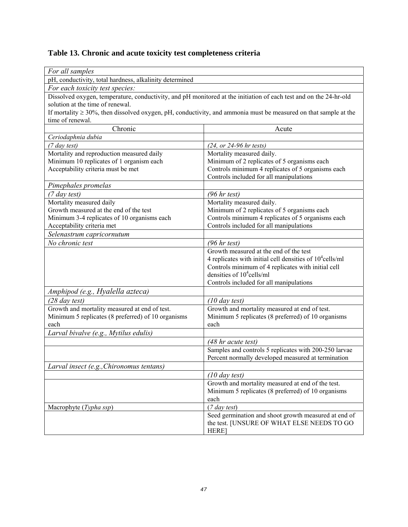# **Table 13. Chronic and acute toxicity test completeness criteria**

| For all samples                                                                                                   |                                                                                                                      |  |  |  |  |
|-------------------------------------------------------------------------------------------------------------------|----------------------------------------------------------------------------------------------------------------------|--|--|--|--|
| pH, conductivity, total hardness, alkalinity determined                                                           |                                                                                                                      |  |  |  |  |
| For each toxicity test species:                                                                                   |                                                                                                                      |  |  |  |  |
| Dissolved oxygen, temperature, conductivity, and pH monitored at the initiation of each test and on the 24-hr-old |                                                                                                                      |  |  |  |  |
| solution at the time of renewal.                                                                                  |                                                                                                                      |  |  |  |  |
|                                                                                                                   | If mortality $\geq$ 30%, then dissolved oxygen, pH, conductivity, and ammonia must be measured on that sample at the |  |  |  |  |
| time of renewal.                                                                                                  |                                                                                                                      |  |  |  |  |
| Chronic                                                                                                           | Acute                                                                                                                |  |  |  |  |
| Ceriodaphnia dubia                                                                                                |                                                                                                                      |  |  |  |  |
| (7 day test)                                                                                                      | $(24, or 24-96 hr tests)$                                                                                            |  |  |  |  |
| Mortality and reproduction measured daily                                                                         | Mortality measured daily.                                                                                            |  |  |  |  |
| Minimum 10 replicates of 1 organism each                                                                          | Minimum of 2 replicates of 5 organisms each                                                                          |  |  |  |  |
| Acceptability criteria must be met                                                                                | Controls minimum 4 replicates of 5 organisms each                                                                    |  |  |  |  |
|                                                                                                                   | Controls included for all manipulations                                                                              |  |  |  |  |
| Pimephales promelas                                                                                               |                                                                                                                      |  |  |  |  |
| (7 day test)                                                                                                      | (96 hr test)                                                                                                         |  |  |  |  |
| Mortality measured daily                                                                                          | Mortality measured daily.                                                                                            |  |  |  |  |
| Growth measured at the end of the test                                                                            | Minimum of 2 replicates of 5 organisms each                                                                          |  |  |  |  |
| Minimum 3-4 replicates of 10 organisms each                                                                       | Controls minimum 4 replicates of 5 organisms each                                                                    |  |  |  |  |
| Acceptability criteria met<br>Controls included for all manipulations                                             |                                                                                                                      |  |  |  |  |
| Selenastrum capricornutum                                                                                         |                                                                                                                      |  |  |  |  |
| No chronic test                                                                                                   | (96 hr test)                                                                                                         |  |  |  |  |
|                                                                                                                   | Growth measured at the end of the test                                                                               |  |  |  |  |
|                                                                                                                   | 4 replicates with initial cell densities of $10^4$ cells/ml                                                          |  |  |  |  |
|                                                                                                                   | Controls minimum of 4 replicates with initial cell                                                                   |  |  |  |  |
|                                                                                                                   | densities of $10^4$ cells/ml                                                                                         |  |  |  |  |
|                                                                                                                   | Controls included for all manipulations                                                                              |  |  |  |  |
| Amphipod (e.g., Hyalella azteca)                                                                                  |                                                                                                                      |  |  |  |  |
| $(28 \, \text{day test})$                                                                                         | $(10 \, \text{day test})$                                                                                            |  |  |  |  |
| Growth and mortality measured at end of test.                                                                     | Growth and mortality measured at end of test.                                                                        |  |  |  |  |
| Minimum 5 replicates (8 preferred) of 10 organisms                                                                | Minimum 5 replicates (8 preferred) of 10 organisms                                                                   |  |  |  |  |
| each                                                                                                              | each                                                                                                                 |  |  |  |  |
| Larval bivalve (e.g., Mytilus edulis)                                                                             |                                                                                                                      |  |  |  |  |
|                                                                                                                   | $(48$ hr acute test)                                                                                                 |  |  |  |  |
|                                                                                                                   | Samples and controls 5 replicates with 200-250 larvae                                                                |  |  |  |  |
|                                                                                                                   | Percent normally developed measured at termination                                                                   |  |  |  |  |
| Larval insect (e.g., Chironomus tentans)                                                                          |                                                                                                                      |  |  |  |  |
|                                                                                                                   | $(10 \, day \, test)$                                                                                                |  |  |  |  |
|                                                                                                                   | Growth and mortality measured at end of the test.                                                                    |  |  |  |  |
|                                                                                                                   | Minimum 5 replicates (8 preferred) of 10 organisms                                                                   |  |  |  |  |
|                                                                                                                   | each                                                                                                                 |  |  |  |  |
| Macrophyte (Typha ssp)                                                                                            | (7 day test)                                                                                                         |  |  |  |  |
|                                                                                                                   | Seed germination and shoot growth measured at end of                                                                 |  |  |  |  |
|                                                                                                                   | the test. [UNSURE OF WHAT ELSE NEEDS TO GO                                                                           |  |  |  |  |
|                                                                                                                   | HERE]                                                                                                                |  |  |  |  |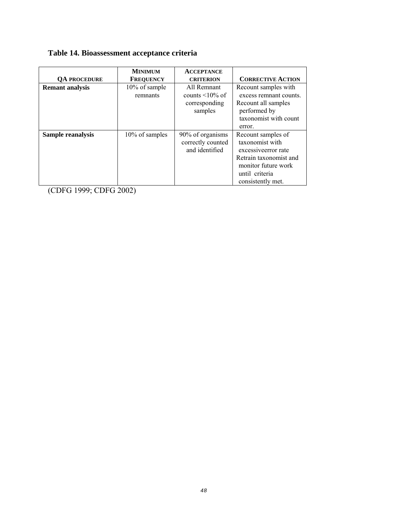# **Table 14. Bioassessment acceptance criteria**

|                        | <b>MINIMUM</b>            | <b>ACCEPTANCE</b>                                                |                                                                                                                                                       |
|------------------------|---------------------------|------------------------------------------------------------------|-------------------------------------------------------------------------------------------------------------------------------------------------------|
| <b>OA PROCEDURE</b>    | <b>FREQUENCY</b>          | <b>CRITERION</b>                                                 | <b>CORRECTIVE ACTION</b>                                                                                                                              |
| <b>Remant</b> analysis | 10% of sample<br>remnants | All Remnant<br>counts $\leq 10\%$ of<br>corresponding<br>samples | Recount samples with<br>excess remnant counts.<br>Recount all samples<br>performed by<br>taxonomist with count                                        |
|                        |                           |                                                                  | error.                                                                                                                                                |
| Sample reanalysis      | 10% of samples            | 90% of organisms<br>correctly counted<br>and identified          | Recount samples of<br>taxonomist with<br>excessive error rate<br>Retrain taxonomist and<br>monitor future work<br>until criteria<br>consistently met. |

(CDFG 1999; CDFG 2002)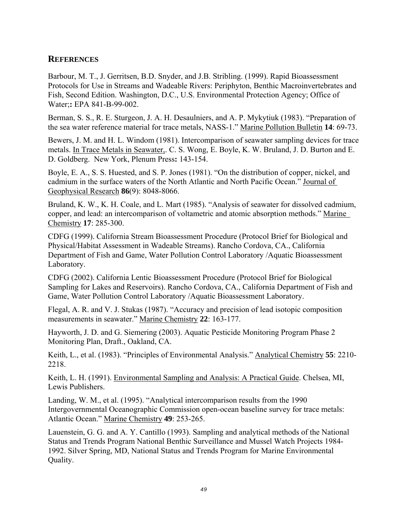#### **REFERENCES**

Barbour, M. T., J. Gerritsen, B.D. Snyder, and J.B. Stribling. (1999). Rapid Bioassessment Protocols for Use in Streams and Wadeable Rivers: Periphyton, Benthic Macroinvertebrates and Fish, Second Edition. Washington, D.C., U.S. Environmental Protection Agency; Office of Water;**:** EPA 841-B-99-002.

Berman, S. S., R. E. Sturgeon, J. A. H. Desaulniers, and A. P. Mykytiuk (1983). "Preparation of the sea water reference material for trace metals, NASS-1." Marine Pollution Bulletin **14**: 69-73.

Bewers, J. M. and H. L. Windom (1981). Intercomparison of seawater sampling devices for trace metals. In Trace Metals in Seawater,. C. S. Wong, E. Boyle, K. W. Bruland, J. D. Burton and E. D. Goldberg. New York, Plenum Press**:** 143-154.

Boyle, E. A., S. S. Huested, and S. P. Jones (1981). "On the distribution of copper, nickel, and cadmium in the surface waters of the North Atlantic and North Pacific Ocean." Journal of Geophysical Research **86**(9): 8048-8066.

Bruland, K. W., K. H. Coale, and L. Mart (1985). "Analysis of seawater for dissolved cadmium, copper, and lead: an intercomparison of voltametric and atomic absorption methods." Marine Chemistry **17**: 285-300.

CDFG (1999). California Stream Bioassessment Procedure (Protocol Brief for Biological and Physical/Habitat Assessment in Wadeable Streams). Rancho Cordova, CA., California Department of Fish and Game, Water Pollution Control Laboratory /Aquatic Bioassessment Laboratory.

CDFG (2002). California Lentic Bioassessment Procedure (Protocol Brief for Biological Sampling for Lakes and Reservoirs). Rancho Cordova, CA., California Department of Fish and Game, Water Pollution Control Laboratory /Aquatic Bioassessment Laboratory.

Flegal, A. R. and V. J. Stukas (1987). "Accuracy and precision of lead isotopic composition measurements in seawater." Marine Chemistry **22**: 163-177.

Hayworth, J. D. and G. Siemering (2003). Aquatic Pesticide Monitoring Program Phase 2 Monitoring Plan, Draft., Oakland, CA.

Keith, L., et al. (1983). "Principles of Environmental Analysis." Analytical Chemistry **55**: 2210- 2218.

Keith, L. H. (1991). Environmental Sampling and Analysis: A Practical Guide. Chelsea, MI, Lewis Publishers.

Landing, W. M., et al. (1995). "Analytical intercomparison results from the 1990 Intergovernmental Oceanographic Commission open-ocean baseline survey for trace metals: Atlantic Ocean." Marine Chemistry **49**: 253-265.

Lauenstein, G. G. and A. Y. Cantillo (1993). Sampling and analytical methods of the National Status and Trends Program National Benthic Surveillance and Mussel Watch Projects 1984- 1992. Silver Spring, MD, National Status and Trends Program for Marine Environmental Quality.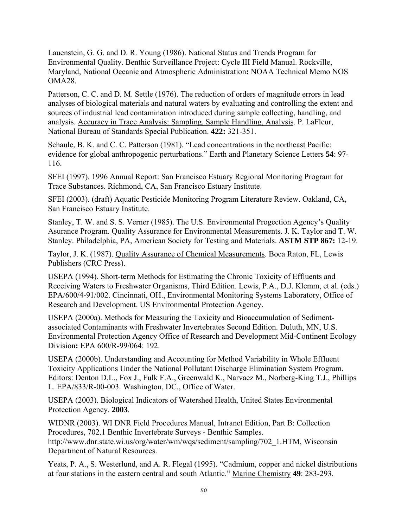Lauenstein, G. G. and D. R. Young (1986). National Status and Trends Program for Environmental Quality. Benthic Surveillance Project: Cycle III Field Manual. Rockville, Maryland, National Oceanic and Atmospheric Administration**:** NOAA Technical Memo NOS OMA28.

Patterson, C. C. and D. M. Settle (1976). The reduction of orders of magnitude errors in lead analyses of biological materials and natural waters by evaluating and controlling the extent and sources of industrial lead contamination introduced during sample collecting, handling, and analysis. Accuracy in Trace Analysis: Sampling, Sample Handling, Analysis. P. LaFleur, National Bureau of Standards Special Publication. **422:** 321-351.

Schaule, B. K. and C. C. Patterson (1981). "Lead concentrations in the northeast Pacific: evidence for global anthropogenic perturbations." Earth and Planetary Science Letters **54**: 97- 116.

SFEI (1997). 1996 Annual Report: San Francisco Estuary Regional Monitoring Program for Trace Substances. Richmond, CA, San Francisco Estuary Institute.

SFEI (2003). (draft) Aquatic Pesticide Monitoring Program Literature Review. Oakland, CA, San Francisco Estuary Institute.

Stanley, T. W. and S. S. Verner (1985). The U.S. Environmental Progection Agency's Quality Asurance Program. Quality Assurance for Environmental Measurements. J. K. Taylor and T. W. Stanley. Philadelphia, PA, American Society for Testing and Materials. **ASTM STP 867:** 12-19.

Taylor, J. K. (1987). Quality Assurance of Chemical Measurements. Boca Raton, FL, Lewis Publishers (CRC Press).

USEPA (1994). Short-term Methods for Estimating the Chronic Toxicity of Effluents and Receiving Waters to Freshwater Organisms, Third Edition. Lewis, P.A., D.J. Klemm, et al. (eds.) EPA/600/4-91/002. Cincinnati, OH., Environmental Monitoring Systems Laboratory, Office of Research and Development. US Environmental Protection Agency.

USEPA (2000a). Methods for Measuring the Toxicity and Bioaccumulation of Sedimentassociated Contaminants with Freshwater Invertebrates Second Edition. Duluth, MN, U.S. Environmental Protection Agency Office of Research and Development Mid-Continent Ecology Division**:** EPA 600/R-99/064: 192.

USEPA (2000b). Understanding and Accounting for Method Variability in Whole Effluent Toxicity Applications Under the National Pollutant Discharge Elimination System Program. Editors: Denton D.L., Fox J., Fulk F.A., Greenwald K., Narvaez M., Norberg-King T.J., Phillips L. EPA/833/R-00-003. Washington, DC., Office of Water.

USEPA (2003). Biological Indicators of Watershed Health, United States Environmental Protection Agency. **2003**.

WIDNR (2003). WI DNR Field Procedures Manual, Intranet Edition, Part B: Collection Procedures, 702.1 Benthic Invertebrate Surveys - Benthic Samples. http://www.dnr.state.wi.us/org/water/wm/wqs/sediment/sampling/702\_1.HTM, Wisconsin Department of Natural Resources.

Yeats, P. A., S. Westerlund, and A. R. Flegal (1995). "Cadmium, copper and nickel distributions at four stations in the eastern central and south Atlantic." Marine Chemistry **49**: 283-293.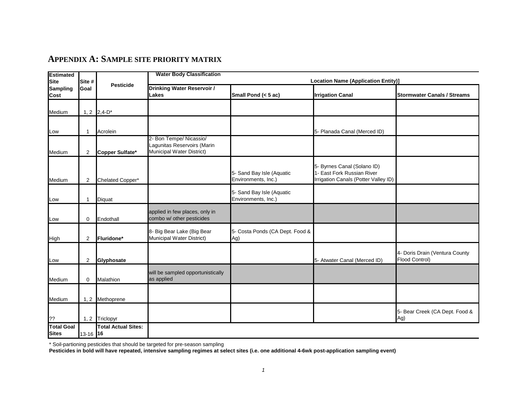#### **APPENDIX A: SAMPLE SITE PRIORITY MATRIX**

| <b>Estimated</b>                       |                | <b>Pesticide</b>           | <b>Water Body Classification</b><br><b>Location Name (Application Entity)]</b> |                                                  |                                                                    |                                    |  |  |
|----------------------------------------|----------------|----------------------------|--------------------------------------------------------------------------------|--------------------------------------------------|--------------------------------------------------------------------|------------------------------------|--|--|
| <b>Site</b><br><b>Sampling</b><br>Cost | Site #<br>Goal |                            | Drinking Water Reservoir /                                                     |                                                  |                                                                    |                                    |  |  |
|                                        |                |                            | <b>Lakes</b>                                                                   | Small Pond (< 5 ac)                              | <b>Irrigation Canal</b>                                            | <b>Stormwater Canals / Streams</b> |  |  |
|                                        |                |                            |                                                                                |                                                  |                                                                    |                                    |  |  |
| Medium                                 |                | 1, 2 $2,4-D^*$             |                                                                                |                                                  |                                                                    |                                    |  |  |
|                                        |                |                            |                                                                                |                                                  |                                                                    |                                    |  |  |
| Low                                    | 1              | Acrolein                   |                                                                                |                                                  | 5- Planada Canal (Merced ID)                                       |                                    |  |  |
|                                        |                |                            | 2- Bon Tempe/ Nicassio/                                                        |                                                  |                                                                    |                                    |  |  |
| Medium                                 | $\overline{2}$ | Copper Sulfate*            | Lagunitas Reservoirs (Marin<br>Municipal Water District)                       |                                                  |                                                                    |                                    |  |  |
|                                        |                |                            |                                                                                |                                                  |                                                                    |                                    |  |  |
|                                        |                |                            |                                                                                |                                                  | 5- Byrnes Canal (Solano ID)                                        |                                    |  |  |
| Medium                                 | $\overline{2}$ | Chelated Copper*           |                                                                                | 5- Sand Bay Isle (Aquatic<br>Environments, Inc.) | 1- East Fork Russian River<br>Irrigation Canals (Potter Valley ID) |                                    |  |  |
|                                        |                |                            |                                                                                |                                                  |                                                                    |                                    |  |  |
|                                        |                |                            |                                                                                | 5- Sand Bay Isle (Aquatic                        |                                                                    |                                    |  |  |
| Low                                    |                | Diquat                     |                                                                                | Environments, Inc.)                              |                                                                    |                                    |  |  |
|                                        |                |                            | applied in few places, only in                                                 |                                                  |                                                                    |                                    |  |  |
| Low                                    | $\overline{0}$ | Endothall                  | combo w/ other pesticides                                                      |                                                  |                                                                    |                                    |  |  |
|                                        |                |                            | 8- Big Bear Lake (Big Bear                                                     | 5- Costa Ponds (CA Dept. Food &                  |                                                                    |                                    |  |  |
| High                                   | 2              | Fluridone*                 | Municipal Water District)                                                      | Ag)                                              |                                                                    |                                    |  |  |
|                                        |                |                            |                                                                                |                                                  |                                                                    | 4- Doris Drain (Ventura County     |  |  |
| Low                                    | $\overline{2}$ | Glyphosate                 |                                                                                |                                                  | 5- Atwater Canal (Merced ID)                                       | Flood Control)                     |  |  |
|                                        |                |                            |                                                                                |                                                  |                                                                    |                                    |  |  |
| Medium                                 | 0              | Malathion                  | will be sampled opportunistically<br>as applied                                |                                                  |                                                                    |                                    |  |  |
|                                        |                |                            |                                                                                |                                                  |                                                                    |                                    |  |  |
| Medium                                 |                |                            |                                                                                |                                                  |                                                                    |                                    |  |  |
|                                        |                | 1, 2 Methoprene            |                                                                                |                                                  |                                                                    |                                    |  |  |
|                                        |                |                            |                                                                                |                                                  |                                                                    | 5- Bear Creek (CA Dept. Food &     |  |  |
| ??                                     |                | 1, 2 Triclopyr             |                                                                                |                                                  |                                                                    | Ag)                                |  |  |
| <b>Total Goal</b>                      |                | <b>Total Actual Sites:</b> |                                                                                |                                                  |                                                                    |                                    |  |  |
| <b>Sites</b>                           | 13-16 16       |                            |                                                                                |                                                  |                                                                    |                                    |  |  |

\* Soil-partioning pesticides that should be targeted for pre-season sampling

**Pesticides in bold will have repeated, intensive sampling regimes at select sites (i.e. one additional 4-6wk post-application sampling event)**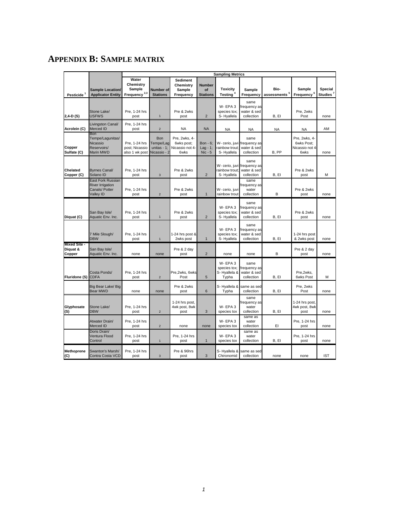# **APPENDIX B: SAMPLE MATRIX**

|                                           |                                                                                    | <b>Sampling Metrics</b>                                  |                                                    |                                                        |                                        |                                                             |                                                   |                                  |                                                       |                                  |
|-------------------------------------------|------------------------------------------------------------------------------------|----------------------------------------------------------|----------------------------------------------------|--------------------------------------------------------|----------------------------------------|-------------------------------------------------------------|---------------------------------------------------|----------------------------------|-------------------------------------------------------|----------------------------------|
| Pesticide <sup>1</sup>                    | <b>Sample Location/</b><br><b>Applicator Entity</b>                                | Water<br>Chemistry<br>Sample<br>Frequency <sup>2,3</sup> | Number of<br><b>Stations</b>                       | <b>Sediment</b><br>Chemistry<br>Sample<br>Frequency    | <b>Number</b><br>of<br><b>Stations</b> | <b>Toxicity</b><br>Testing <sup>4</sup>                     | <b>Sample</b><br>Frequency                        | Bio-<br>assessments <sup>5</sup> | Sample<br>Frequency <sup>6</sup>                      | <b>Special</b><br><b>Studies</b> |
| $2,4-D(S)$                                | Stone Lake/<br><b>USFWS</b>                                                        | Pre. 1-24 hrs<br>post                                    | $\mathbf{1}$                                       | Pre & 2wks<br>post                                     | $\overline{2}$                         | W-EPA3<br>species tox;<br>S-Hyallela                        | same<br>frequency as<br>water & sed<br>collection | B, El                            | Pre, 2wks<br>Post                                     | none                             |
| Acrolein (C)                              | Livingston Canal/<br>Merced ID                                                     | Pre, 1-24 hrs<br>post                                    | $\mathbf 2$                                        | <b>NA</b>                                              | <b>NA</b>                              | <b>NA</b>                                                   | NA                                                | NA                               | <b>NA</b>                                             | AM                               |
| Copper<br>Sulfate (C)                     | Bon<br>Tempe/Lagunitas/<br>Nicassio<br>Reservoirs/<br>Marin MWD                    | Pre. 1-24 hrs<br>post; Nicassio<br>also 1 wk post        | Bon<br>Tempe/Lag<br>unitas - $1$ ;<br>Nicassio - 2 | Pre, 2wks, 4-<br>6wks post;<br>Nicassio not 4-<br>6wks | Bon - 6:<br>$Lag - 1;$<br>$Nic - 5$    | W- cerio, juvi frequency as<br>rainbow trout:<br>S-Hyallela | same<br>water & sed<br>collection                 | B, PP                            | Pre, 2wks, 4-<br>6wks Post:<br>Nicassio not 4<br>6wks | none                             |
| Chelated<br>Copper (C)                    | <b>Byrnes Canal/</b><br>Solano ID                                                  | Pre, 1-24 hrs<br>post                                    | $\sqrt{3}$                                         | Pre & 2wks<br>post                                     | $\overline{2}$                         | W- cerio, juvi<br>rainbow trout:<br>S-Hyallela              | same<br>frequency as<br>water & sed<br>collection | B, El                            | Pre & 2wks<br>post                                    | M                                |
|                                           | East Fork Russian<br><b>River Irrigation</b><br>Canals/ Potter<br><b>Valley ID</b> | Pre, 1-24 hrs<br>post                                    | $\overline{2}$                                     | Pre & 2wks<br>post                                     | $\mathbf{1}$                           | W- cerio, juvi<br>rainbow trout                             | same<br>frequency as<br>water<br>collection       | B                                | Pre & 2wks<br>post                                    | none                             |
| Diquat (C)                                | San Bay Isle/<br>Aquatic Env. Inc.                                                 | Pre, 1-24 hrs<br>post                                    | $\mathbf{1}$                                       | Pre & 2wks<br>post                                     | $\overline{2}$                         | W-EPA3<br>species tox;<br>S-Hyallela                        | same<br>requency as<br>water & sed<br>collection  | B, El                            | Pre & 2wks<br>post                                    | none                             |
|                                           | 7 Mile Slough/<br><b>DBW</b>                                                       | Pre, 1-24 hrs<br>post                                    | $\mathbf{1}$                                       | 1-24 hrs post &<br>2wks post                           | $\mathbf{1}$                           | W-EPA3<br>species tox;<br>S-Hyallela                        | same<br>frequency as<br>water & sed<br>collection | B, El                            | 1-24 hrs post<br>& 2wks post                          | none                             |
| <b>Mixed Site -</b><br>Diquat &<br>Copper | San Bay Isle/<br>Aquatic Env. Inc.                                                 | none                                                     | none                                               | Pre & 2 day<br>post                                    | $\overline{2}$                         | none                                                        | none                                              | В                                | Pre & 2 day<br>post                                   | none                             |
| Fluridone (S)                             | Costa Ponds/<br><b>CDFA</b>                                                        | Pre, 1-24 hrs<br>post                                    | $\mathbf 2$                                        | Pre, 2wks, 6wks<br>Post                                | 5                                      | W-EPA3<br>species tox;<br>S-Hyallela &<br>Typha             | same<br>frequency as<br>water & sed<br>collection | B, El                            | Pre,2wks,<br>6wks Post                                | М                                |
|                                           | Big Bear Lake/ Big<br><b>Bear MWD</b>                                              | none                                                     | none                                               | Pre & 2wks<br>post                                     | 6                                      | S-Hyallela &<br>Typha                                       | same as sed<br>collection                         | B. EI                            | Pre, 2wks<br>Post                                     | none                             |
| Glyphosate<br>(S)                         | Stone Lake/<br><b>DBW</b>                                                          | Pre, 1-24 hrs<br>post                                    | $\overline{2}$                                     | 1-24 hrs post,<br>4wk post, 8wk<br>post                | 3                                      | W-EPA3<br>species tox                                       | same<br>requency as<br>water<br>collection        | B, El                            | 1-24 hrs post<br>4wk post, 8wk<br>post                | none                             |
|                                           | Atwater Drain/<br>Merced ID                                                        | Pre, 1-24 hrs<br>post                                    | $\overline{2}$                                     | none                                                   | none                                   | W-EPA3<br>species tox                                       | same as<br>water<br>collection                    | EI                               | Pre, 1-24 hrs<br>post                                 | none                             |
|                                           | Doris Drain/<br>Ventura Flood<br>Control                                           | Pre, 1-24 hrs<br>post                                    | $\mathbf{1}$                                       | Pre, 1-24 hrs<br>post                                  | $\mathbf{1}$                           | W-EPA3<br>species tox                                       | same as<br>water<br>collection                    | B, El                            | Pre, 1-24 hrs<br>post                                 | none                             |
| <b>Methoprene</b><br>(C)                  | Swanton's Marsh/<br>Contra Costa VCD                                               | Pre, 1-24 hrs<br>post                                    | $\mathbf{3}$                                       | Pre & 96hrs<br>post                                    | 3                                      | S-Hyallela &<br>Chironomid                                  | same as sed<br>collection                         | none                             | none                                                  | <b>IST</b>                       |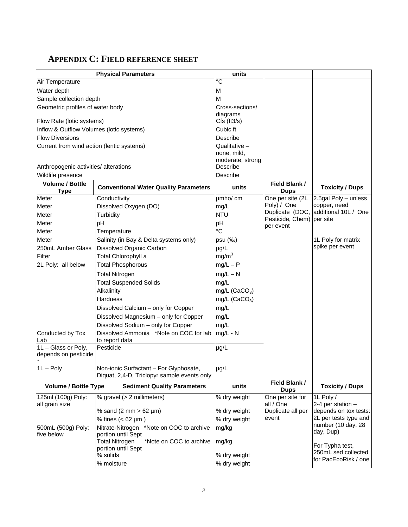# **APPENDIX C: FIELD REFERENCE SHEET**

|                                             | <b>Physical Parameters</b>                                             | units                     |                               |                                             |
|---------------------------------------------|------------------------------------------------------------------------|---------------------------|-------------------------------|---------------------------------------------|
| Air Temperature                             |                                                                        | ∘c                        |                               |                                             |
| Water depth                                 |                                                                        | M                         |                               |                                             |
| Sample collection depth                     |                                                                        | M                         |                               |                                             |
| Geometric profiles of water body            |                                                                        | Cross-sections/           |                               |                                             |
|                                             |                                                                        | diagrams                  |                               |                                             |
| Flow Rate (lotic systems)                   |                                                                        | $Cfs$ (ft $3/s$ )         |                               |                                             |
| Inflow & Outflow Volumes (lotic systems)    |                                                                        | Cubic ft                  |                               |                                             |
| <b>Flow Diversions</b>                      |                                                                        | Describe                  |                               |                                             |
| Current from wind action (lentic systems)   |                                                                        | Qualitative $-$           |                               |                                             |
|                                             |                                                                        | none, mild,               |                               |                                             |
|                                             |                                                                        | moderate, strong          |                               |                                             |
| Anthropogenic activities/ alterations       |                                                                        | Describe                  |                               |                                             |
| Wildlife presence                           |                                                                        | Describe                  |                               |                                             |
| <b>Volume / Bottle</b><br><b>Type</b>       | <b>Conventional Water Quality Parameters</b>                           | units                     | Field Blank /<br><b>Dups</b>  | <b>Toxicity / Dups</b>                      |
| Meter                                       | Conductivity                                                           | umho/cm                   | One per site (2L              | $2.5$ gal Poly – unless                     |
| Meter                                       | Dissolved Oxygen (DO)                                                  | mg/L                      | Poly) / One                   | copper, need                                |
| Meter                                       | Turbidity                                                              | <b>NTU</b>                | Duplicate (DOC,               | additional 10L / One                        |
| Meter                                       | pH                                                                     | pH                        | Pesticide, Chem)<br>per event | per site                                    |
| Meter                                       | Temperature                                                            | $^{\circ}C$               |                               |                                             |
| Meter                                       | Salinity (in Bay & Delta systems only)                                 | psu (‰)                   |                               | 1L Poly for matrix                          |
| 250mL Amber Glass                           | Dissolved Organic Carbon                                               | µg/L                      |                               | spike per event                             |
| Filter                                      | Total Chlorophyll a                                                    | mg/m <sup>3</sup>         |                               |                                             |
| 2L Poly: all below                          | <b>Total Phosphorous</b>                                               | $mg/L - P$                |                               |                                             |
|                                             | <b>Total Nitrogen</b>                                                  | $mg/L - N$                |                               |                                             |
|                                             | <b>Total Suspended Solids</b>                                          | mg/L                      |                               |                                             |
|                                             | Alkalinity                                                             |                           |                               |                                             |
|                                             | <b>Hardness</b>                                                        | mg/L (CaCO <sub>3</sub> ) |                               |                                             |
|                                             |                                                                        | mg/L $(CaCO3)$            |                               |                                             |
|                                             | Dissolved Calcium - only for Copper                                    | mg/L                      |                               |                                             |
|                                             | Dissolved Magnesium - only for Copper                                  | mg/L                      |                               |                                             |
|                                             | Dissolved Sodium - only for Copper                                     | mg/L                      |                               |                                             |
| Conducted by Tox                            | Dissolved Ammonia *Note on COC for lab                                 | mg/L - N                  |                               |                                             |
| Lab                                         | to report data<br>Pesticide                                            |                           |                               |                                             |
| 1L - Glass or Poly,<br>depends on pesticide |                                                                        | µg/L                      |                               |                                             |
|                                             |                                                                        |                           |                               |                                             |
| $1L - Poly$                                 | Non-ionic Surfactant - For Glyphosate,                                 | $\mu$ g/L                 |                               |                                             |
|                                             | Diquat, 2,4-D, Triclopyr sample events only                            |                           |                               |                                             |
| <b>Volume / Bottle Type</b>                 | <b>Sediment Quality Parameters</b>                                     | units                     | Field Blank /<br><b>Dups</b>  | <b>Toxicity / Dups</b>                      |
| 125ml (100g) Poly:                          | % gravel (> 2 millimeters)                                             | % dry weight              | One per site for              | 1L Poly /                                   |
| all grain size                              |                                                                        |                           | all / One                     | 2-4 per station -                           |
|                                             | % sand (2 mm $> 62 \mu m$ )                                            | % dry weight              | Duplicate all per<br>event    | depends on tox tests:                       |
|                                             | % fines $(< 62 \mu m)$                                                 | % dry weight              |                               | 2L per tests type and<br>number (10 day, 28 |
| 500mL (500g) Poly:                          | Nitrate-Nitrogen *Note on COC to archive                               | mg/kg                     |                               | day, Dup)                                   |
| five below                                  | portion until Sept<br><b>Total Nitrogen</b><br>*Note on COC to archive | mg/kg                     |                               |                                             |
|                                             | portion until Sept                                                     |                           |                               | For Typha test,                             |
|                                             | % solids                                                               | % dry weight              |                               | 250mL sed collected                         |
|                                             | % moisture                                                             | % dry weight              |                               | for PacEcoRisk / one                        |
|                                             |                                                                        |                           |                               |                                             |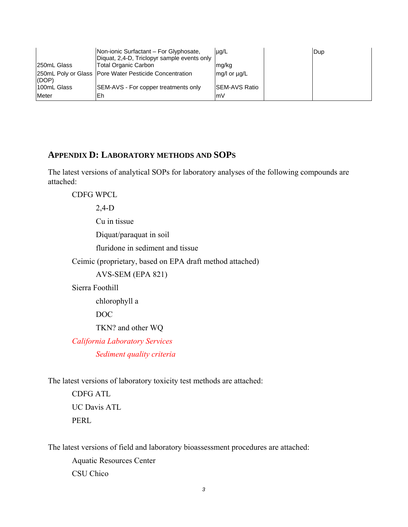|              | Non-ionic Surfactant - For Glyphosate,<br>Diquat, 2,4-D, Triclopyr sample events only | $\mu q/L$      | Dup |
|--------------|---------------------------------------------------------------------------------------|----------------|-----|
| 250mL Glass  | Total Organic Carbon                                                                  | mg/kg          |     |
| (DOP)        | 250mL Poly or Glass   Pore Water Pesticide Concentration                              | mg/l or ug/L   |     |
| 100mL Glass  | SEM-AVS - For copper treatments only                                                  | ISEM-AVS Ratio |     |
| <b>Meter</b> | Eh                                                                                    | lmV            |     |

#### **APPENDIX D: LABORATORY METHODS AND SOPS**

The latest versions of analytical SOPs for laboratory analyses of the following compounds are attached:

CDFG WPCL

2,4-D

Cu in tissue

Diquat/paraquat in soil

fluridone in sediment and tissue

Ceimic (proprietary, based on EPA draft method attached)

AVS-SEM (EPA 821)

Sierra Foothill

chlorophyll a

DOC

TKN? and other WQ

 *California Laboratory Services* 

 *Sediment quality criteria* 

The latest versions of laboratory toxicity test methods are attached:

CDFG ATL UC Davis ATL PERL

The latest versions of field and laboratory bioassessment procedures are attached: Aquatic Resources Center CSU Chico